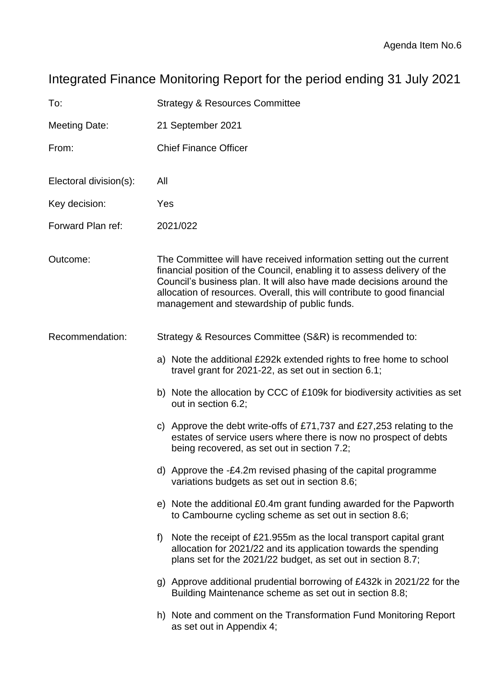# Integrated Finance Monitoring Report for the period ending 31 July 2021

| To:                    | <b>Strategy &amp; Resources Committee</b>                                                                                                                                                                                                                                                                                                           |
|------------------------|-----------------------------------------------------------------------------------------------------------------------------------------------------------------------------------------------------------------------------------------------------------------------------------------------------------------------------------------------------|
| <b>Meeting Date:</b>   | 21 September 2021                                                                                                                                                                                                                                                                                                                                   |
| From:                  | <b>Chief Finance Officer</b>                                                                                                                                                                                                                                                                                                                        |
| Electoral division(s): | All                                                                                                                                                                                                                                                                                                                                                 |
| Key decision:          | Yes                                                                                                                                                                                                                                                                                                                                                 |
| Forward Plan ref:      | 2021/022                                                                                                                                                                                                                                                                                                                                            |
| Outcome:               | The Committee will have received information setting out the current<br>financial position of the Council, enabling it to assess delivery of the<br>Council's business plan. It will also have made decisions around the<br>allocation of resources. Overall, this will contribute to good financial<br>management and stewardship of public funds. |
| Recommendation:        | Strategy & Resources Committee (S&R) is recommended to:                                                                                                                                                                                                                                                                                             |
|                        | a) Note the additional £292k extended rights to free home to school<br>travel grant for $2021-22$ , as set out in section 6.1;                                                                                                                                                                                                                      |
|                        | b) Note the allocation by CCC of £109k for biodiversity activities as set<br>out in section 6.2;                                                                                                                                                                                                                                                    |
|                        | Approve the debt write-offs of £71,737 and £27,253 relating to the<br>C)<br>estates of service users where there is now no prospect of debts<br>being recovered, as set out in section 7.2;                                                                                                                                                         |
|                        | d) Approve the -£4.2m revised phasing of the capital programme<br>variations budgets as set out in section 8.6;                                                                                                                                                                                                                                     |
|                        | e) Note the additional £0.4m grant funding awarded for the Papworth<br>to Cambourne cycling scheme as set out in section 8.6;                                                                                                                                                                                                                       |
|                        | Note the receipt of £21.955m as the local transport capital grant<br>f)<br>allocation for 2021/22 and its application towards the spending<br>plans set for the 2021/22 budget, as set out in section 8.7;                                                                                                                                          |
|                        | g) Approve additional prudential borrowing of £432k in 2021/22 for the<br>Building Maintenance scheme as set out in section 8.8;                                                                                                                                                                                                                    |
|                        | h) Note and comment on the Transformation Fund Monitoring Report<br>as set out in Appendix 4;                                                                                                                                                                                                                                                       |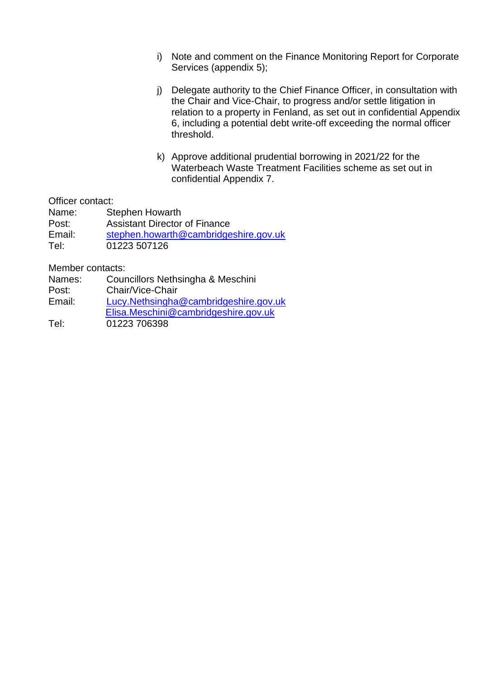- i) Note and comment on the Finance Monitoring Report for Corporate Services (appendix 5);
- j) Delegate authority to the Chief Finance Officer, in consultation with the Chair and Vice-Chair, to progress and/or settle litigation in relation to a property in Fenland, as set out in confidential Appendix 6, including a potential debt write-off exceeding the normal officer threshold.
- k) Approve additional prudential borrowing in 2021/22 for the Waterbeach Waste Treatment Facilities scheme as set out in confidential Appendix 7.

Officer contact:

| Name:  | <b>Stephen Howarth</b>                |
|--------|---------------------------------------|
| Post:  | <b>Assistant Director of Finance</b>  |
| Email: | stephen.howarth@cambridgeshire.gov.uk |
| Tel:   | 01223 507126                          |

Member contacts:

| Names: | Councillors Nethsingha & Meschini |  |
|--------|-----------------------------------|--|
|--------|-----------------------------------|--|

- Post: Chair/Vice-Chair
- Email: [Lucy.Nethsingha@cambridgeshire.gov.uk](mailto:Lucy.Nethsingha@cambridgeshire.gov.uk) [Elisa.Meschini@cambridgeshire.gov.uk](mailto:elisa.meschini@cambridgeshire.gov.uk)

Tel: 01223 706398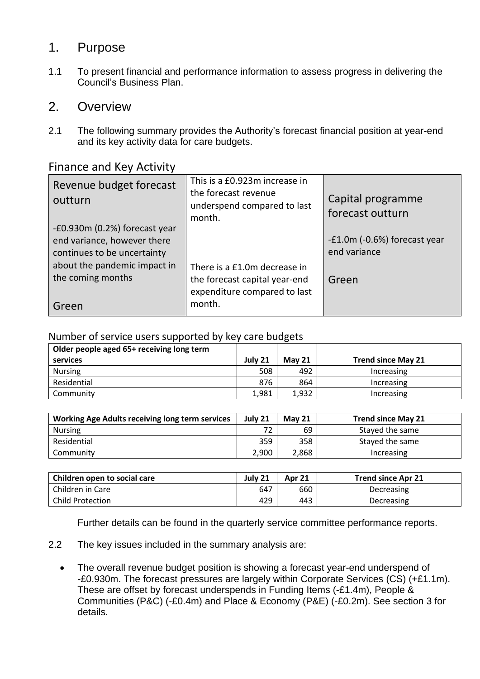## 1. Purpose

1.1 To present financial and performance information to assess progress in delivering the Council's Business Plan.

### 2. Overview

2.1 The following summary provides the Authority's forecast financial position at year-end and its key activity data for care budgets.

### Finance and Key Activity

| Revenue budget forecast<br>outturn | This is a £0.923m increase in<br>the forecast revenue<br>underspend compared to last<br>month. | Capital programme<br>forecast outturn |
|------------------------------------|------------------------------------------------------------------------------------------------|---------------------------------------|
| -£0.930m (0.2%) forecast year      |                                                                                                |                                       |
| end variance, however there        |                                                                                                | -£1.0m (-0.6%) forecast year          |
| continues to be uncertainty        |                                                                                                | end variance                          |
| about the pandemic impact in       | There is a £1.0m decrease in                                                                   |                                       |
| the coming months                  | the forecast capital year-end                                                                  | Green                                 |
|                                    | expenditure compared to last                                                                   |                                       |
| Green                              | month.                                                                                         |                                       |

### Number of service users supported by key care budgets

| Older people aged 65+ receiving long term |         |               |                           |
|-------------------------------------------|---------|---------------|---------------------------|
| services                                  | July 21 | <b>May 21</b> | <b>Trend since May 21</b> |
| <b>Nursing</b>                            | 508     | 492           | Increasing                |
| Residential                               | 876     | 864           | Increasing                |
| Community                                 | 1.981   | 1,932         | Increasing                |

| Working Age Adults receiving long term services | July 21 | <b>May 21</b> | <b>Trend since May 21</b> |
|-------------------------------------------------|---------|---------------|---------------------------|
| Nursing                                         | 72      | 69            | Stayed the same           |
| Residential                                     | 359     | 358           | Stayed the same           |
| Community                                       | 2.900   | 2,868         | <b>Increasing</b>         |

| Children open to social care | July 21 | <b>Apr 21</b> | <b>Trend since Apr 21</b> |
|------------------------------|---------|---------------|---------------------------|
| Children in Care             | 647     | 660           | Decreasing                |
| <b>Child Protection</b>      | 429     | 443           | Decreasing                |

Further details can be found in the quarterly service committee performance reports.

- 2.2 The key issues included in the summary analysis are:
	- The overall revenue budget position is showing a forecast year-end underspend of -£0.930m. The forecast pressures are largely within Corporate Services (CS) (+£1.1m). These are offset by forecast underspends in Funding Items (-£1.4m), People & Communities (P&C) (-£0.4m) and Place & Economy (P&E) (-£0.2m). See section 3 for details.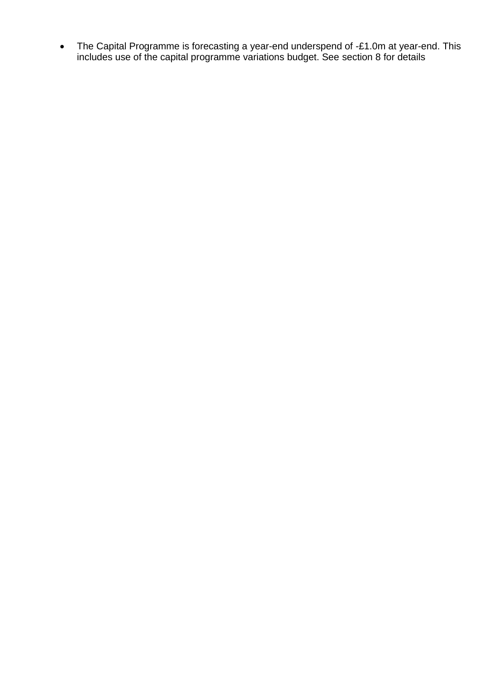• The Capital Programme is forecasting a year-end underspend of -£1.0m at year-end. This includes use of the capital programme variations budget. See section 8 for details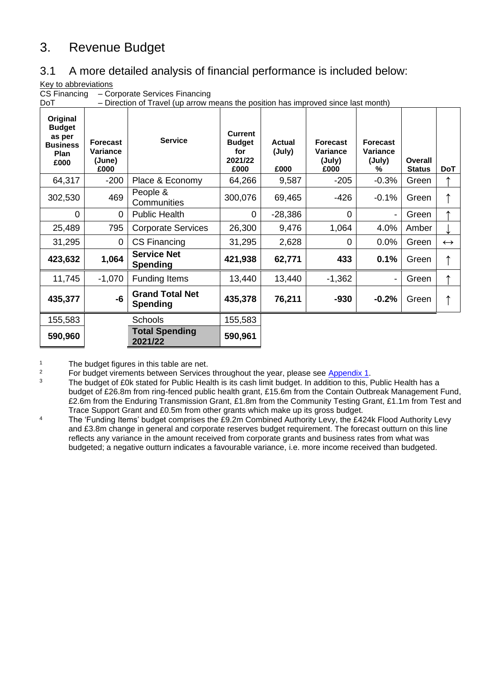# 3. Revenue Budget

## 3.1 A more detailed analysis of financial performance is included below:

Key to abbreviations

CS Financing – Corporate Services Financing<br>DoT – Direction of Travel (up arrow n

– Direction of Travel (up arrow means the position has improved since last month)

| Original<br><b>Budget</b><br>as per<br><b>Business</b><br>Plan<br>£000 | <b>Forecast</b><br>Variance<br>(June)<br>£000 | <b>Service</b>                            | <b>Current</b><br><b>Budget</b><br>for<br>2021/22<br>£000 | <b>Actual</b><br>(July)<br>£000 | <b>Forecast</b><br>Variance<br>(July)<br>£000 | <b>Forecast</b><br>Variance<br>(July)<br>% | Overall<br><b>Status</b> | <b>DoT</b>        |
|------------------------------------------------------------------------|-----------------------------------------------|-------------------------------------------|-----------------------------------------------------------|---------------------------------|-----------------------------------------------|--------------------------------------------|--------------------------|-------------------|
| 64,317                                                                 | $-200$                                        | Place & Economy                           | 64,266                                                    | 9,587                           | $-205$                                        | $-0.3%$                                    | Green                    |                   |
| 302,530                                                                | 469                                           | People &<br>Communities                   | 300,076                                                   | 69,465                          | $-426$                                        | $-0.1%$                                    | Green                    |                   |
| $\mathbf 0$                                                            | $\Omega$                                      | <b>Public Health</b>                      | 0                                                         | $-28,386$                       | $\Omega$                                      | -                                          | Green                    |                   |
| 25,489                                                                 | 795                                           | <b>Corporate Services</b>                 | 26,300                                                    | 9,476                           | 1,064                                         | 4.0%                                       | Amber                    |                   |
| 31,295                                                                 | $\mathbf 0$                                   | <b>CS Financing</b>                       | 31,295                                                    | 2,628                           | 0                                             | 0.0%                                       | Green                    | $\leftrightarrow$ |
| 423,632                                                                | 1,064                                         | <b>Service Net</b><br><b>Spending</b>     | 421,938                                                   | 62,771                          | 433                                           | 0.1%                                       | Green                    |                   |
| 11,745                                                                 | $-1,070$                                      | <b>Funding Items</b>                      | 13,440                                                    | 13,440                          | $-1,362$                                      | -                                          | Green                    |                   |
| 435,377                                                                | -6                                            | <b>Grand Total Net</b><br><b>Spending</b> | 435,378                                                   | 76,211                          | $-930$                                        | $-0.2%$                                    | Green                    |                   |
| 155,583                                                                |                                               | Schools                                   | 155,583                                                   |                                 |                                               |                                            |                          |                   |
| 590,960                                                                |                                               | <b>Total Spending</b><br>2021/22          | 590,961                                                   |                                 |                                               |                                            |                          |                   |

<sup>1</sup> The budget figures in this table are net.<br><sup>2</sup> Eor budget virements between Services

<sup>2</sup> For budget virements between Services throughout the year, please see  $\frac{\text{Appendix 1}}{\text{4}}$ .

The budget of £0k stated for Public Health is its cash limit budget. In addition to this, Public Health has a budget of £26.8m from ring-fenced public health grant, £15.6m from the Contain Outbreak Management Fund, £2.6m from the Enduring Transmission Grant, £1.8m from the Community Testing Grant, £1.1m from Test and Trace Support Grant and £0.5m from other grants which make up its gross budget.

<sup>4</sup> The 'Funding Items' budget comprises the £9.2m Combined Authority Levy, the £424k Flood Authority Levy and £3.8m change in general and corporate reserves budget requirement. The forecast outturn on this line reflects any variance in the amount received from corporate grants and business rates from what was budgeted; a negative outturn indicates a favourable variance, i.e. more income received than budgeted.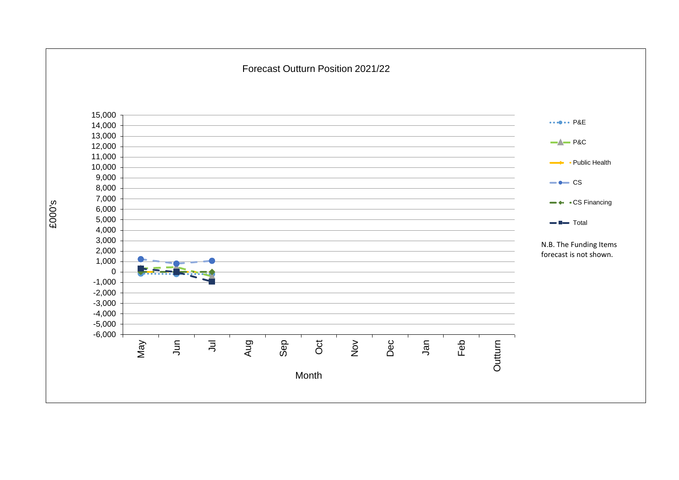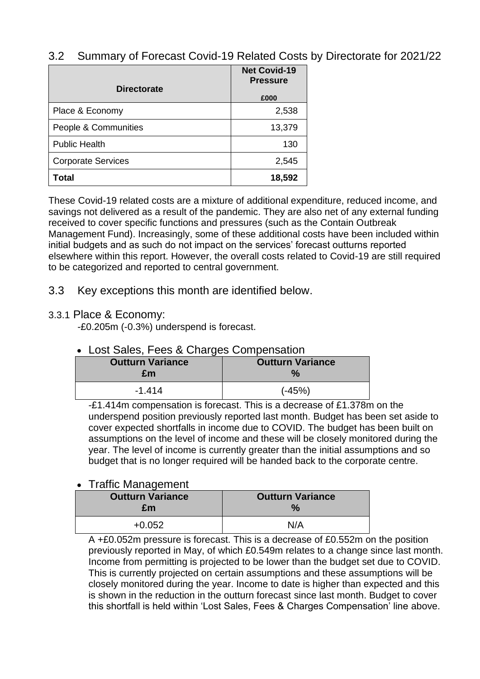### 3.2 Summary of Forecast Covid-19 Related Costs by Directorate for 2021/22

|                           | <b>Net Covid-19</b><br><b>Pressure</b> |
|---------------------------|----------------------------------------|
| <b>Directorate</b>        | £000                                   |
| Place & Economy           | 2,538                                  |
| People & Communities      | 13,379                                 |
| <b>Public Health</b>      | 130                                    |
| <b>Corporate Services</b> | 2,545                                  |
| Total                     | 18,592                                 |

These Covid-19 related costs are a mixture of additional expenditure, reduced income, and savings not delivered as a result of the pandemic. They are also net of any external funding received to cover specific functions and pressures (such as the Contain Outbreak Management Fund). Increasingly, some of these additional costs have been included within initial budgets and as such do not impact on the services' forecast outturns reported elsewhere within this report. However, the overall costs related to Covid-19 are still required to be categorized and reported to central government.

### 3.3 Key exceptions this month are identified below.

### 3.3.1 Place & Economy:

-£0.205m (-0.3%) underspend is forecast.

### • Lost Sales, Fees & Charges Compensation

| <b>Outturn Variance</b> | <b>Outturn Variance</b> |
|-------------------------|-------------------------|
| £m                      | $\mathcal{A}$           |
| $-1.414$                | $(-45%)$                |

-£1.414m compensation is forecast. This is a decrease of £1.378m on the underspend position previously reported last month. Budget has been set aside to cover expected shortfalls in income due to COVID. The budget has been built on assumptions on the level of income and these will be closely monitored during the year. The level of income is currently greater than the initial assumptions and so budget that is no longer required will be handed back to the corporate centre.

### • Traffic Management

| <b>Outturn Variance</b><br>£m | <b>Outturn Variance</b> |
|-------------------------------|-------------------------|
| $+0.052$                      | N/A                     |

A +£0.052m pressure is forecast. This is a decrease of £0.552m on the position previously reported in May, of which £0.549m relates to a change since last month. Income from permitting is projected to be lower than the budget set due to COVID. This is currently projected on certain assumptions and these assumptions will be closely monitored during the year. Income to date is higher than expected and this is shown in the reduction in the outturn forecast since last month. Budget to cover this shortfall is held within 'Lost Sales, Fees & Charges Compensation' line above.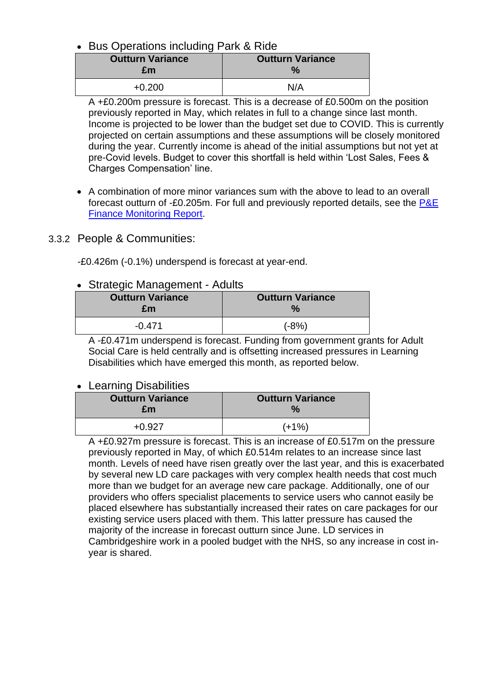### • Bus Operations including Park & Ride

| <b>Outturn Variance</b><br>£m | <b>Outturn Variance</b> |
|-------------------------------|-------------------------|
| $+0.200$                      | N/A                     |

A +£0.200m pressure is forecast. This is a decrease of £0.500m on the position previously reported in May, which relates in full to a change since last month. Income is projected to be lower than the budget set due to COVID. This is currently projected on certain assumptions and these assumptions will be closely monitored during the year. Currently income is ahead of the initial assumptions but not yet at pre-Covid levels. Budget to cover this shortfall is held within 'Lost Sales, Fees & Charges Compensation' line.

• A combination of more minor variances sum with the above to lead to an overall forecast outturn of -£0.205m. For full and previously reported details, see the [P&E](https://www.cambridgeshire.gov.uk/council/finance-and-budget/finance-performance-reports)  [Finance Monitoring Report.](https://www.cambridgeshire.gov.uk/council/finance-and-budget/finance-performance-reports)

### 3.3.2 People & Communities:

-£0.426m (-0.1%) underspend is forecast at year-end.

### • Strategic Management - Adults

| <b>Outturn Variance</b><br>£m | <b>Outturn Variance</b> |
|-------------------------------|-------------------------|
| $-0.471$                      | (-8%)                   |

A -£0.471m underspend is forecast. Funding from government grants for Adult Social Care is held centrally and is offsetting increased pressures in Learning Disabilities which have emerged this month, as reported below.

#### • Learning Disabilities

| <b>Outturn Variance</b><br>£m | <b>Outturn Variance</b> |
|-------------------------------|-------------------------|
| ∓∩ 927                        | $(+1%)$                 |

A +£0.927m pressure is forecast. This is an increase of £0.517m on the pressure previously reported in May, of which £0.514m relates to an increase since last month. Levels of need have risen greatly over the last year, and this is exacerbated by several new LD care packages with very complex health needs that cost much more than we budget for an average new care package. Additionally, one of our providers who offers specialist placements to service users who cannot easily be placed elsewhere has substantially increased their rates on care packages for our existing service users placed with them. This latter pressure has caused the majority of the increase in forecast outturn since June. LD services in Cambridgeshire work in a pooled budget with the NHS, so any increase in cost inyear is shared.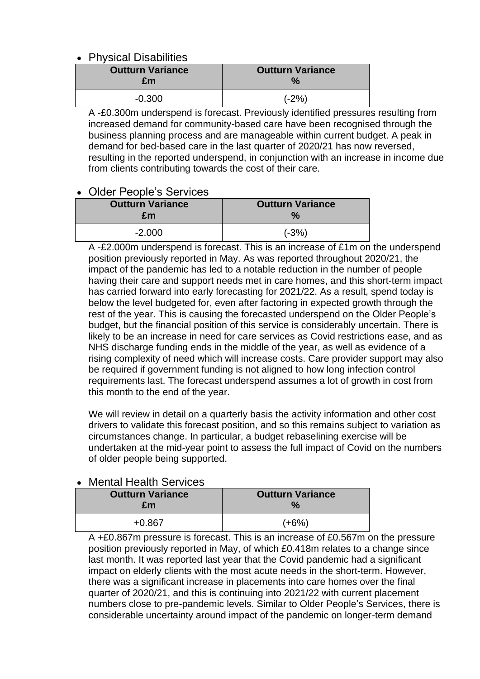### • Physical Disabilities

| <b>Outturn Variance</b> | <b>Outturn Variance</b> |
|-------------------------|-------------------------|
| £m                      | $\frac{1}{2}$           |
| $-0.300$                | $(-2%)$                 |

A -£0.300m underspend is forecast. Previously identified pressures resulting from increased demand for community-based care have been recognised through the business planning process and are manageable within current budget. A peak in demand for bed-based care in the last quarter of 2020/21 has now reversed, resulting in the reported underspend, in conjunction with an increase in income due from clients contributing towards the cost of their care.

### • Older People's Services

| <b>Outturn Variance</b><br>£m | <b>Outturn Variance</b> |  |  |  |  |  |  |
|-------------------------------|-------------------------|--|--|--|--|--|--|
| $-2.000$                      | $(-3%)$                 |  |  |  |  |  |  |

A -£2.000m underspend is forecast. This is an increase of £1m on the underspend position previously reported in May. As was reported throughout 2020/21, the impact of the pandemic has led to a notable reduction in the number of people having their care and support needs met in care homes, and this short-term impact has carried forward into early forecasting for 2021/22. As a result, spend today is below the level budgeted for, even after factoring in expected growth through the rest of the year. This is causing the forecasted underspend on the Older People's budget, but the financial position of this service is considerably uncertain. There is likely to be an increase in need for care services as Covid restrictions ease, and as NHS discharge funding ends in the middle of the year, as well as evidence of a rising complexity of need which will increase costs. Care provider support may also be required if government funding is not aligned to how long infection control requirements last. The forecast underspend assumes a lot of growth in cost from this month to the end of the year.

We will review in detail on a quarterly basis the activity information and other cost drivers to validate this forecast position, and so this remains subject to variation as circumstances change. In particular, a budget rebaselining exercise will be undertaken at the mid-year point to assess the full impact of Covid on the numbers of older people being supported.

| <u>V IVICHICH HUGHII OCHIUCO</u> |                                 |
|----------------------------------|---------------------------------|
| <b>Outturn Variance</b><br>£m    | <b>Outturn Variance</b><br>$\%$ |
| $+0.867$                         | (+6%)                           |

### • Mental Health Services

A +£0.867m pressure is forecast. This is an increase of £0.567m on the pressure position previously reported in May, of which £0.418m relates to a change since last month. It was reported last year that the Covid pandemic had a significant impact on elderly clients with the most acute needs in the short-term. However, there was a significant increase in placements into care homes over the final quarter of 2020/21, and this is continuing into 2021/22 with current placement numbers close to pre-pandemic levels. Similar to Older People's Services, there is considerable uncertainty around impact of the pandemic on longer-term demand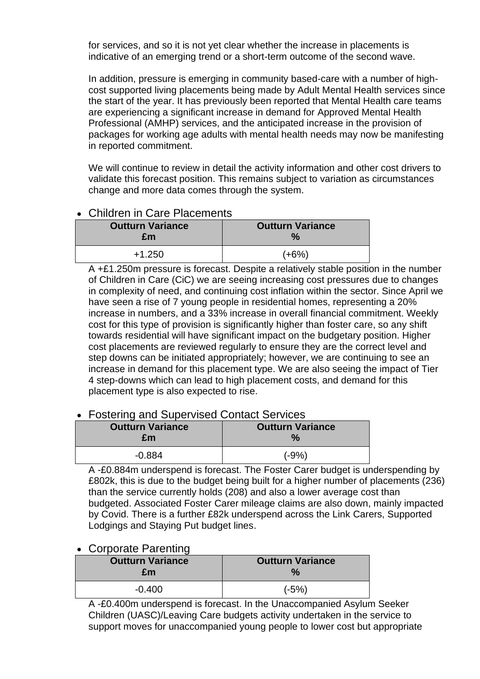for services, and so it is not yet clear whether the increase in placements is indicative of an emerging trend or a short-term outcome of the second wave.

In addition, pressure is emerging in community based-care with a number of highcost supported living placements being made by Adult Mental Health services since the start of the year. It has previously been reported that Mental Health care teams are experiencing a significant increase in demand for Approved Mental Health Professional (AMHP) services, and the anticipated increase in the provision of packages for working age adults with mental health needs may now be manifesting in reported commitment.

We will continue to review in detail the activity information and other cost drivers to validate this forecast position. This remains subject to variation as circumstances change and more data comes through the system.

### • Children in Care Placements

| <b>Outturn Variance</b> | <b>Outturn Variance</b> |
|-------------------------|-------------------------|
| £m                      | $\frac{1}{2}$           |
| $+1.250$                | (+6%)                   |

A +£1.250m pressure is forecast. Despite a relatively stable position in the number of Children in Care (CiC) we are seeing increasing cost pressures due to changes in complexity of need, and continuing cost inflation within the sector. Since April we have seen a rise of 7 young people in residential homes, representing a 20% increase in numbers, and a 33% increase in overall financial commitment. Weekly cost for this type of provision is significantly higher than foster care, so any shift towards residential will have significant impact on the budgetary position. Higher cost placements are reviewed regularly to ensure they are the correct level and step downs can be initiated appropriately; however, we are continuing to see an increase in demand for this placement type. We are also seeing the impact of Tier 4 step-downs which can lead to high placement costs, and demand for this placement type is also expected to rise.

### • Fostering and Supervised Contact Services

| <b>Outturn Variance</b><br>£m | <b>Outturn Variance</b> |
|-------------------------------|-------------------------|
| $-0.884$                      | (-9%)                   |

A -£0.884m underspend is forecast. The Foster Carer budget is underspending by £802k, this is due to the budget being built for a higher number of placements (236) than the service currently holds (208) and also a lower average cost than budgeted. Associated Foster Carer mileage claims are also down, mainly impacted by Covid. There is a further £82k underspend across the Link Carers, Supported Lodgings and Staying Put budget lines.

### • Corporate Parenting

| <b>Outturn Variance</b> | <b>Outturn Variance</b> |
|-------------------------|-------------------------|
| £m                      | $\frac{9}{6}$           |
| $-0.400$                | (-5%)                   |

A -£0.400m underspend is forecast. In the Unaccompanied Asylum Seeker Children (UASC)/Leaving Care budgets activity undertaken in the service to support moves for unaccompanied young people to lower cost but appropriate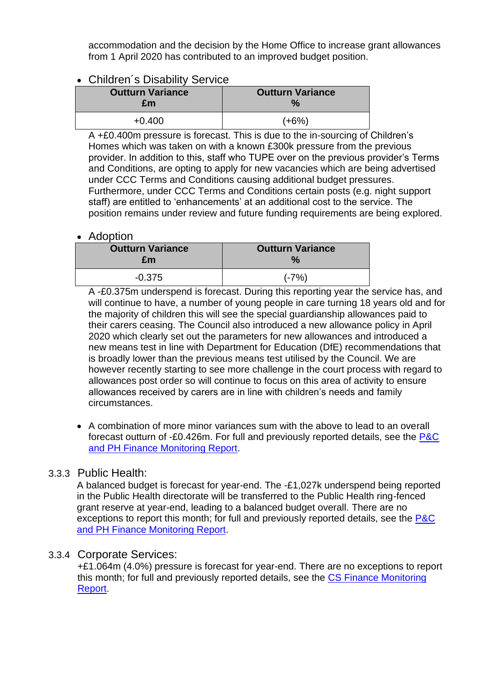accommodation and the decision by the Home Office to increase grant allowances from 1 April 2020 has contributed to an improved budget position.

### • Children´s Disability Service

| <b>Outturn Variance</b> | <b>Outturn Variance</b> |  |  |  |  |  |  |
|-------------------------|-------------------------|--|--|--|--|--|--|
| £m                      | $\frac{9}{6}$           |  |  |  |  |  |  |
| $+0.400$                | (+6%)                   |  |  |  |  |  |  |

A +£0.400m pressure is forecast. This is due to the in-sourcing of Children's Homes which was taken on with a known £300k pressure from the previous provider. In addition to this, staff who TUPE over on the previous provider's Terms and Conditions, are opting to apply for new vacancies which are being advertised under CCC Terms and Conditions causing additional budget pressures. Furthermore, under CCC Terms and Conditions certain posts (e.g. night support staff) are entitled to 'enhancements' at an additional cost to the service. The position remains under review and future funding requirements are being explored.

### • Adoption

| <b>Outturn Variance</b><br>£m | <b>Outturn Variance</b> |
|-------------------------------|-------------------------|
| $-0.375$                      | $(-7%)$                 |

A -£0.375m underspend is forecast. During this reporting year the service has, and will continue to have, a number of young people in care turning 18 years old and for the majority of children this will see the special guardianship allowances paid to their carers ceasing. The Council also introduced a new allowance policy in April 2020 which clearly set out the parameters for new allowances and introduced a new means test in line with Department for Education (DfE) recommendations that is broadly lower than the previous means test utilised by the Council. We are however recently starting to see more challenge in the court process with regard to allowances post order so will continue to focus on this area of activity to ensure allowances received by carers are in line with children's needs and family circumstances.

• A combination of more minor variances sum with the above to lead to an overall forecast outturn of -£0.426m. For full and previously reported details, see the [P&C](https://www.cambridgeshire.gov.uk/council/finance-and-budget/finance-performance-reports)  [and PH Finance Monitoring Report.](https://www.cambridgeshire.gov.uk/council/finance-and-budget/finance-performance-reports)

### 3.3.3 Public Health:

A balanced budget is forecast for year-end. The -£1,027k underspend being reported in the Public Health directorate will be transferred to the Public Health ring-fenced grant reserve at year-end, leading to a balanced budget overall. There are no exceptions to report this month; for full and previously reported details, see the [P&C](https://www.cambridgeshire.gov.uk/council/finance-and-budget/finance-performance-reports)  [and PH Finance Monitoring Report.](https://www.cambridgeshire.gov.uk/council/finance-and-budget/finance-performance-reports)

### 3.3.4 Corporate Services:

+£1.064m (4.0%) pressure is forecast for year-end. There are no exceptions to report this month; for full and previously reported details, see the [CS Finance Monitoring](https://www.cambridgeshire.gov.uk/council/finance-and-budget/finance-performance-reports)  [Report.](https://www.cambridgeshire.gov.uk/council/finance-and-budget/finance-performance-reports)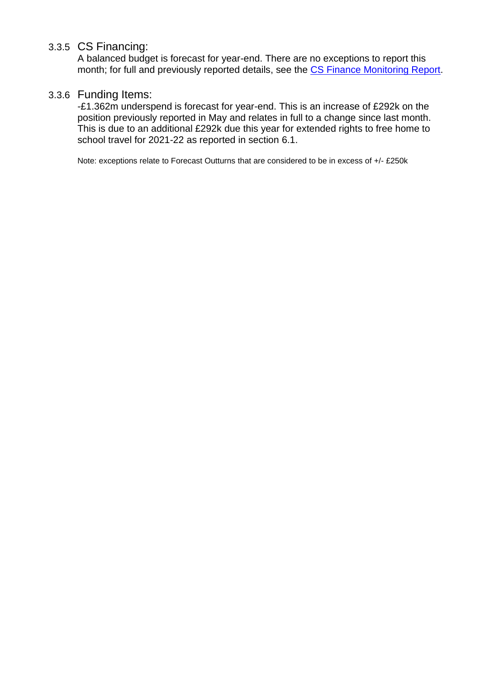### 3.3.5 CS Financing:

A balanced budget is forecast for year-end. There are no exceptions to report this month; for full and previously reported details, see the [CS Finance Monitoring Report.](https://www.cambridgeshire.gov.uk/council/finance-and-budget/finance-performance-reports)

### 3.3.6 Funding Items:

-£1.362m underspend is forecast for year-end. This is an increase of £292k on the position previously reported in May and relates in full to a change since last month. This is due to an additional £292k due this year for extended rights to free home to school travel for 2021-22 as reported in section 6.1.

Note: exceptions relate to Forecast Outturns that are considered to be in excess of +/- £250k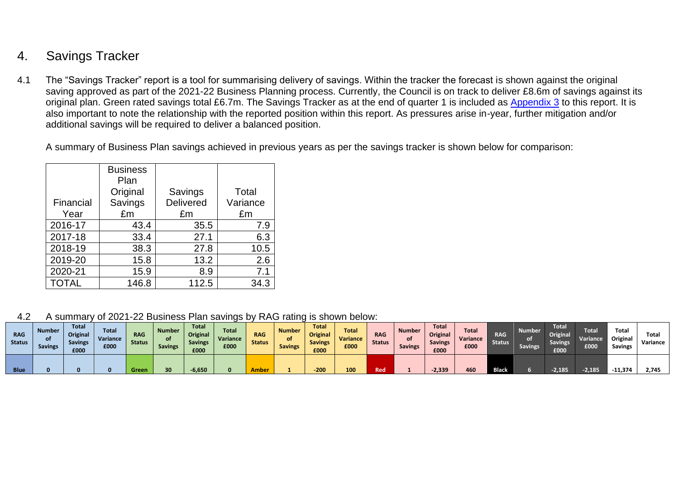# 4. Savings Tracker

4.1 The "Savings Tracker" report is a tool for summarising delivery of savings. Within the tracker the forecast is shown against the original saving approved as part of the 2021-22 Business Planning process. Currently, the Council is on track to deliver £8.6m of savings against its original plan. Green rated savings total £6.7m. The Savings Tracker as at the end of quarter 1 is included as [Appendix 3](#page-30-0) to this report. It is also important to note the relationship with the reported position within this report. As pressures arise in-year, further mitigation and/or additional savings will be required to deliver a balanced position.

A summary of Business Plan savings achieved in previous years as per the savings tracker is shown below for comparison:

|           | <b>Business</b><br>Plan |                  |          |
|-----------|-------------------------|------------------|----------|
|           | Original                | Savings          | Total    |
| Financial | Savings                 | <b>Delivered</b> | Variance |
| Year      | £m                      | £m               | £m       |
| 2016-17   | 43.4                    | 35.5             | 7.9      |
| 2017-18   | 33.4                    | 27.1             | 6.3      |
| 2018-19   | 38.3                    | 27.8             | 10.5     |
| 2019-20   | 15.8                    | 13.2             | 2.6      |
| 2020-21   | 15.9                    | 8.9              | 7.1      |
| TOTAL     | 146.8                   | 112.5            | 34.3     |

4.2 A summary of 2021-22 Business Plan savings by RAG rating is shown below:

| <b>RAG</b><br><b>Status</b> | <b>Number</b><br><b>Savings</b> | <b>Total</b><br>Original<br><b>Savings</b><br>£000 | <b>Total</b><br>Variance<br>£000 | <b>RAG</b><br><b>Status</b> | <b>Number</b><br>οf<br><b>Savings</b> | <b>Total</b><br>Original<br><b>Savings</b><br>£000 | Total<br>Variance<br>£000 | <b>RAG</b><br><b>Status</b> | <b>Number</b><br>οf<br><b>Savings</b> | <b>Total</b><br>Original<br><b>Savings</b><br>£000 | <b>Total</b><br>Variance<br>£000 | <b>RAG</b><br><b>Status</b> | <b>Number</b><br><b>Savings</b> | <b>Total</b><br>Original<br><b>Savings</b><br>£000 | <b>Total</b><br><b>Variance</b><br>£000 | <b>RAG</b><br><b>Status</b> | Number<br><b>Savings</b> | <b>Total</b><br><b>Original</b><br><b>Savings</b><br>£000 | <b>Total</b><br><b>Variance</b><br>£000 | Total<br>Original<br><b>Savings</b> | <b>Total</b><br>Variance |
|-----------------------------|---------------------------------|----------------------------------------------------|----------------------------------|-----------------------------|---------------------------------------|----------------------------------------------------|---------------------------|-----------------------------|---------------------------------------|----------------------------------------------------|----------------------------------|-----------------------------|---------------------------------|----------------------------------------------------|-----------------------------------------|-----------------------------|--------------------------|-----------------------------------------------------------|-----------------------------------------|-------------------------------------|--------------------------|
| <b>Blue</b>                 |                                 |                                                    |                                  | Green                       | 30                                    | $-6,650$                                           |                           | Ambe                        |                                       | -200                                               |                                  | Red                         |                                 | $-2,339$                                           | 460                                     | <b>Black</b>                |                          |                                                           | 2,185                                   | $-11.374$                           | 2.745                    |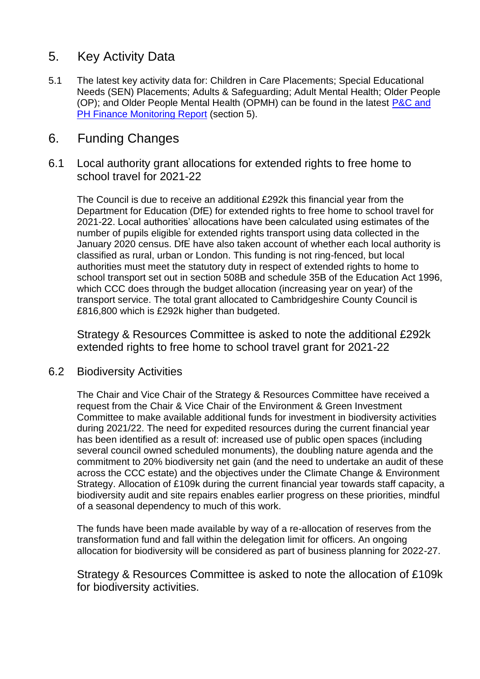# 5. Key Activity Data

5.1 The latest key activity data for: Children in Care Placements; Special Educational Needs (SEN) Placements; Adults & Safeguarding; Adult Mental Health; Older People (OP); and Older People Mental Health (OPMH) can be found in the latest [P&C and](https://www.cambridgeshire.gov.uk/council/finance-and-budget/finance-performance-reports)  [PH Finance Monitoring Report](https://www.cambridgeshire.gov.uk/council/finance-and-budget/finance-performance-reports) (section 5).

# 6. Funding Changes

6.1 Local authority grant allocations for extended rights to free home to school travel for 2021-22

The Council is due to receive an additional £292k this financial year from the Department for Education (DfE) for extended rights to free home to school travel for 2021-22. Local authorities' allocations have been calculated using estimates of the number of pupils eligible for extended rights transport using data collected in the January 2020 census. DfE have also taken account of whether each local authority is classified as rural, urban or London. This funding is not ring-fenced, but local authorities must meet the statutory duty in respect of extended rights to home to school transport set out in section 508B and schedule 35B of the Education Act 1996, which CCC does through the budget allocation (increasing year on year) of the transport service. The total grant allocated to Cambridgeshire County Council is £816,800 which is £292k higher than budgeted.

Strategy & Resources Committee is asked to note the additional £292k extended rights to free home to school travel grant for 2021-22

### 6.2 Biodiversity Activities

The Chair and Vice Chair of the Strategy & Resources Committee have received a request from the Chair & Vice Chair of the Environment & Green Investment Committee to make available additional funds for investment in biodiversity activities during 2021/22. The need for expedited resources during the current financial year has been identified as a result of: increased use of public open spaces (including several council owned scheduled monuments), the doubling nature agenda and the commitment to 20% biodiversity net gain (and the need to undertake an audit of these across the CCC estate) and the objectives under the Climate Change & Environment Strategy. Allocation of £109k during the current financial year towards staff capacity, a biodiversity audit and site repairs enables earlier progress on these priorities, mindful of a seasonal dependency to much of this work.

The funds have been made available by way of a re-allocation of reserves from the transformation fund and fall within the delegation limit for officers. An ongoing allocation for biodiversity will be considered as part of business planning for 2022-27.

Strategy & Resources Committee is asked to note the allocation of £109k for biodiversity activities.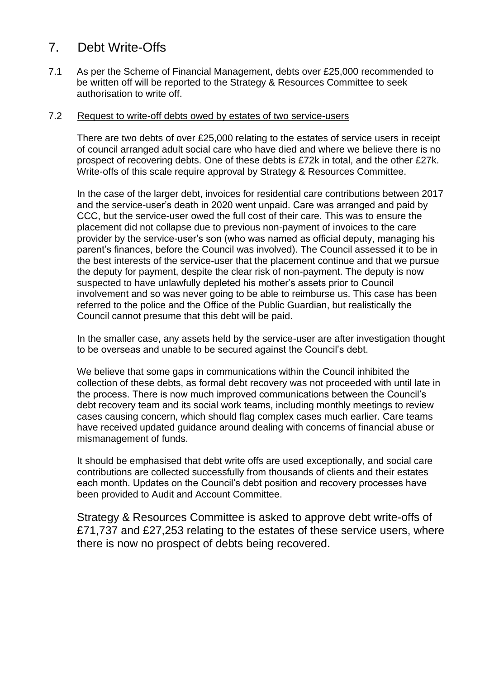# 7. Debt Write-Offs

7.1 As per the Scheme of Financial Management, debts over £25,000 recommended to be written off will be reported to the Strategy & Resources Committee to seek authorisation to write off.

#### 7.2 Request to write-off debts owed by estates of two service-users

There are two debts of over £25,000 relating to the estates of service users in receipt of council arranged adult social care who have died and where we believe there is no prospect of recovering debts. One of these debts is £72k in total, and the other £27k. Write-offs of this scale require approval by Strategy & Resources Committee.

In the case of the larger debt, invoices for residential care contributions between 2017 and the service-user's death in 2020 went unpaid. Care was arranged and paid by CCC, but the service-user owed the full cost of their care. This was to ensure the placement did not collapse due to previous non-payment of invoices to the care provider by the service-user's son (who was named as official deputy, managing his parent's finances, before the Council was involved). The Council assessed it to be in the best interests of the service-user that the placement continue and that we pursue the deputy for payment, despite the clear risk of non-payment. The deputy is now suspected to have unlawfully depleted his mother's assets prior to Council involvement and so was never going to be able to reimburse us. This case has been referred to the police and the Office of the Public Guardian, but realistically the Council cannot presume that this debt will be paid.

In the smaller case, any assets held by the service-user are after investigation thought to be overseas and unable to be secured against the Council's debt.

We believe that some gaps in communications within the Council inhibited the collection of these debts, as formal debt recovery was not proceeded with until late in the process. There is now much improved communications between the Council's debt recovery team and its social work teams, including monthly meetings to review cases causing concern, which should flag complex cases much earlier. Care teams have received updated guidance around dealing with concerns of financial abuse or mismanagement of funds.

It should be emphasised that debt write offs are used exceptionally, and social care contributions are collected successfully from thousands of clients and their estates each month. Updates on the Council's debt position and recovery processes have been provided to Audit and Account Committee.

Strategy & Resources Committee is asked to approve debt write-offs of £71,737 and £27,253 relating to the estates of these service users, where there is now no prospect of debts being recovered**.**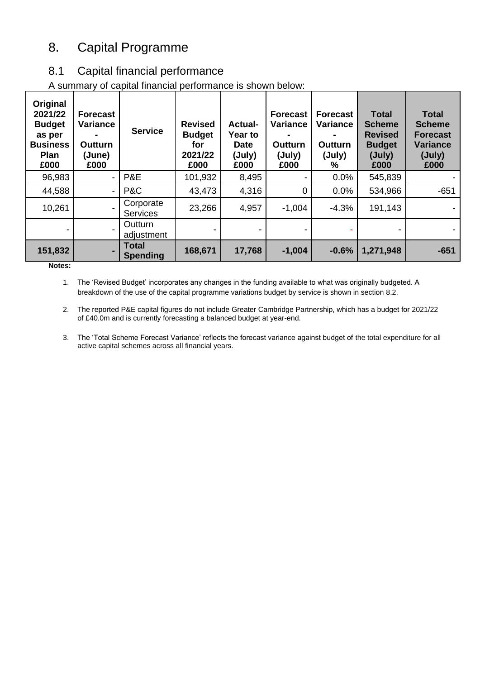# 8. Capital Programme

## 8.1 Capital financial performance

A summary of capital financial performance is shown below:

| Original<br>2021/22<br><b>Budget</b><br>as per<br><b>Business</b><br><b>Plan</b><br>£000 | <b>Forecast</b><br>Variance<br><b>Outturn</b><br>(June)<br>£000 | <b>Service</b>                  | <b>Revised</b><br><b>Budget</b><br>for<br>2021/22<br>£000 | <b>Actual-</b><br><b>Year to</b><br><b>Date</b><br>(July)<br>£000 | <b>Forecast</b><br><b>Variance</b><br><b>Outturn</b><br>(July)<br>£000 | <b>Forecast</b><br>Variance<br>Outturn<br>(July)<br>% | <b>Total</b><br><b>Scheme</b><br><b>Revised</b><br><b>Budget</b><br>(July)<br>£000 | <b>Total</b><br><b>Scheme</b><br><b>Forecast</b><br><b>Variance</b><br>(July)<br>£000 |
|------------------------------------------------------------------------------------------|-----------------------------------------------------------------|---------------------------------|-----------------------------------------------------------|-------------------------------------------------------------------|------------------------------------------------------------------------|-------------------------------------------------------|------------------------------------------------------------------------------------|---------------------------------------------------------------------------------------|
| 96,983                                                                                   | $\blacksquare$                                                  | P&E                             | 101,932                                                   | 8,495                                                             |                                                                        | 0.0%                                                  | 545,839                                                                            |                                                                                       |
| 44,588                                                                                   | $\blacksquare$                                                  | P&C                             | 43,473                                                    | 4,316                                                             | $\mathbf 0$                                                            | 0.0%                                                  | 534,966                                                                            | $-651$                                                                                |
| 10,261                                                                                   |                                                                 | Corporate<br><b>Services</b>    | 23,266                                                    | 4,957                                                             | $-1,004$                                                               | $-4.3%$                                               | 191,143                                                                            |                                                                                       |
|                                                                                          |                                                                 | Outturn<br>adjustment           |                                                           |                                                                   |                                                                        |                                                       |                                                                                    |                                                                                       |
| 151,832                                                                                  |                                                                 | <b>Total</b><br><b>Spending</b> | 168,671                                                   | 17,768                                                            | $-1,004$                                                               | $-0.6%$                                               | 1,271,948                                                                          | $-651$                                                                                |

**Notes:**

1. The 'Revised Budget' incorporates any changes in the funding available to what was originally budgeted. A breakdown of the use of the capital programme variations budget by service is shown in section 8.2.

2. The reported P&E capital figures do not include Greater Cambridge Partnership, which has a budget for 2021/22 of £40.0m and is currently forecasting a balanced budget at year-end.

3. The 'Total Scheme Forecast Variance' reflects the forecast variance against budget of the total expenditure for all active capital schemes across all financial years.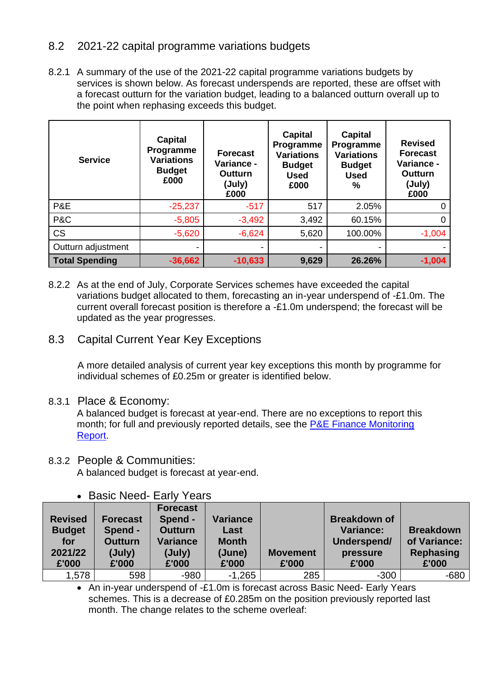### 8.2 2021-22 capital programme variations budgets

8.2.1 A summary of the use of the 2021-22 capital programme variations budgets by services is shown below. As forecast underspends are reported, these are offset with a forecast outturn for the variation budget, leading to a balanced outturn overall up to the point when rephasing exceeds this budget.

| <b>Service</b>        | <b>Capital</b><br>Programme<br><b>Variations</b><br><b>Budget</b><br>£000 | <b>Forecast</b><br>Variance -<br>Outturn<br>(July)<br>£000 | <b>Capital</b><br>Programme<br><b>Variations</b><br><b>Budget</b><br><b>Used</b><br>£000 | <b>Capital</b><br>Programme<br><b>Variations</b><br><b>Budget</b><br><b>Used</b><br>$\%$ | <b>Revised</b><br><b>Forecast</b><br>Variance -<br><b>Outturn</b><br>(July)<br>£000 |
|-----------------------|---------------------------------------------------------------------------|------------------------------------------------------------|------------------------------------------------------------------------------------------|------------------------------------------------------------------------------------------|-------------------------------------------------------------------------------------|
| P&E                   | $-25,237$                                                                 | $-517$                                                     | 517                                                                                      | 2.05%                                                                                    | 0                                                                                   |
| P&C                   | $-5,805$                                                                  | $-3,492$                                                   | 3,492                                                                                    | 60.15%                                                                                   | $\Omega$                                                                            |
| <b>CS</b>             | $-5,620$                                                                  | $-6,624$                                                   | 5,620                                                                                    | 100.00%                                                                                  | $-1,004$                                                                            |
| Outturn adjustment    |                                                                           |                                                            |                                                                                          |                                                                                          |                                                                                     |
| <b>Total Spending</b> | $-36,662$                                                                 | $-10,633$                                                  | 9,629                                                                                    | 26.26%                                                                                   | $-1,004$                                                                            |

8.2.2 As at the end of July, Corporate Services schemes have exceeded the capital variations budget allocated to them, forecasting an in-year underspend of -£1.0m. The current overall forecast position is therefore a -£1.0m underspend; the forecast will be updated as the year progresses.

8.3 Capital Current Year Key Exceptions

A more detailed analysis of current year key exceptions this month by programme for individual schemes of £0.25m or greater is identified below.

8.3.1 Place & Economy:

A balanced budget is forecast at year-end. There are no exceptions to report this month; for full and previously reported details, see the [P&E Finance Monitoring](https://www.cambridgeshire.gov.uk/council/finance-and-budget/finance-performance-reports)  [Report.](https://www.cambridgeshire.gov.uk/council/finance-and-budget/finance-performance-reports)

8.3.2 People & Communities: A balanced budget is forecast at year-end.

|                                                            | <b>DASIV INCEY</b> LAILY<br>I GAI S                      |                                                                                    |                                                            |                          |                                                                      |                                                        |  |  |  |
|------------------------------------------------------------|----------------------------------------------------------|------------------------------------------------------------------------------------|------------------------------------------------------------|--------------------------|----------------------------------------------------------------------|--------------------------------------------------------|--|--|--|
| <b>Revised</b><br><b>Budget</b><br>for<br>2021/22<br>£'000 | Forecast<br>Spend -<br><b>Outturn</b><br>(July)<br>£'000 | <b>Forecast</b><br>Spend -<br><b>Outturn</b><br><b>Variance</b><br>(July)<br>£'000 | <b>Variance</b><br>Last<br><b>Month</b><br>(June)<br>£'000 | <b>Movement</b><br>£'000 | <b>Breakdown of</b><br>Variance:<br>Underspend/<br>pressure<br>£'000 | <b>Breakdown</b><br>of Variance:<br>Rephasing<br>£'000 |  |  |  |
| 1,578                                                      | 598                                                      | $-980$                                                                             | $-1,265$                                                   | 285                      | $-300$                                                               | $-680$                                                 |  |  |  |

• Basic Need- Early Years

• An in-year underspend of -£1.0m is forecast across Basic Need- Early Years schemes. This is a decrease of £0.285m on the position previously reported last month. The change relates to the scheme overleaf: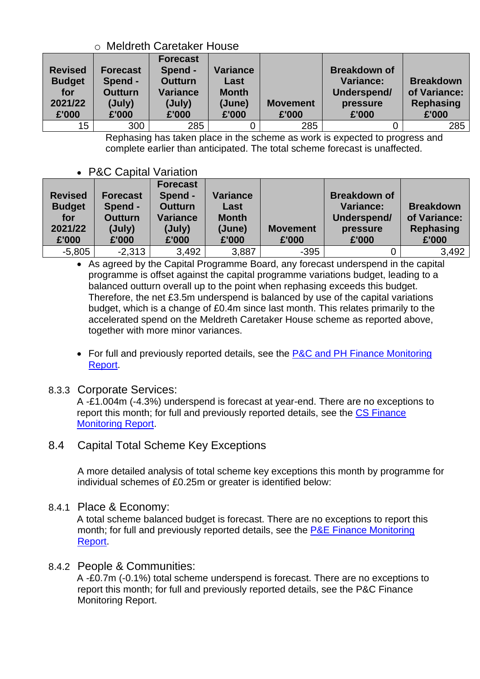### o Meldreth Caretaker House

| <b>Revised</b><br><b>Budget</b><br>for<br>2021/22<br>£'000 | <b>Forecast</b><br>Spend -<br><b>Outturn</b><br>(July)<br>£'000 | <b>Forecast</b><br>Spend -<br><b>Outturn</b><br><b>Variance</b><br>(July)<br>£'000 | Variance<br>Last<br><b>Month</b><br>(June)<br>£'000 | <b>Movement</b><br>£'000 | <b>Breakdown of</b><br><b>Variance:</b><br>Underspend/<br>pressure<br>£'000 | <b>Breakdown</b><br>of Variance:<br>Rephasing<br>£'000 |
|------------------------------------------------------------|-----------------------------------------------------------------|------------------------------------------------------------------------------------|-----------------------------------------------------|--------------------------|-----------------------------------------------------------------------------|--------------------------------------------------------|
| 15                                                         | 300                                                             | 285                                                                                |                                                     | 285                      |                                                                             | 285                                                    |

Rephasing has taken place in the scheme as work is expected to progress and complete earlier than anticipated. The total scheme forecast is unaffected.

### • P&C Capital Variation

| <b>Revised</b><br><b>Budget</b><br>for<br>2021/22<br>£'000 | Forecast<br>Spend -<br><b>Outturn</b><br>(July)<br>£'000 | <b>Forecast</b><br>Spend -<br><b>Outturn</b><br><b>Variance</b><br>(July)<br>£'000 | <b>Variance</b><br>Last<br><b>Month</b><br>(June)<br>£'000 | <b>Movement</b><br>£'000 | <b>Breakdown of</b><br><b>Variance:</b><br>Underspend/<br>pressure<br>£'000 | <b>Breakdown</b><br>of Variance:<br><b>Rephasing</b><br>£'000 |
|------------------------------------------------------------|----------------------------------------------------------|------------------------------------------------------------------------------------|------------------------------------------------------------|--------------------------|-----------------------------------------------------------------------------|---------------------------------------------------------------|
| $-5,805$                                                   | $-2,313$                                                 | 3,492                                                                              | 3,887                                                      | $-395$                   |                                                                             | 3,492                                                         |

• As agreed by the Capital Programme Board, any forecast underspend in the capital programme is offset against the capital programme variations budget, leading to a balanced outturn overall up to the point when rephasing exceeds this budget. Therefore, the net £3.5m underspend is balanced by use of the capital variations budget, which is a change of £0.4m since last month. This relates primarily to the accelerated spend on the Meldreth Caretaker House scheme as reported above, together with more minor variances.

• For full and previously reported details, see the P&C and PH Finance Monitoring [Report.](https://www.cambridgeshire.gov.uk/council/finance-and-budget/finance-performance-reports)

### 8.3.3 Corporate Services:

A -£1.004m (-4.3%) underspend is forecast at year-end. There are no exceptions to report this month; for full and previously reported details, see the CS Finance [Monitoring Report.](https://www.cambridgeshire.gov.uk/council/finance-and-budget/finance-performance-reports)

### 8.4 Capital Total Scheme Key Exceptions

A more detailed analysis of total scheme key exceptions this month by programme for individual schemes of £0.25m or greater is identified below:

### 8.4.1 Place & Economy:

A total scheme balanced budget is forecast. There are no exceptions to report this month; for full and previously reported details, see the **P&E Finance Monitoring** [Report.](https://www.cambridgeshire.gov.uk/council/finance-and-budget/finance-performance-reports)

### 8.4.2 People & Communities:

A -£0.7m (-0.1%) total scheme underspend is forecast. There are no exceptions to report this month; for full and previously reported details, see the P&C Finance Monitoring Report.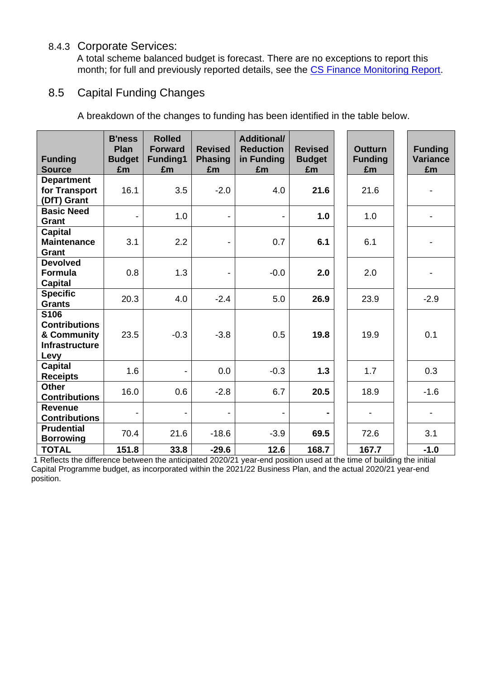### 8.4.3 Corporate Services:

A total scheme balanced budget is forecast. There are no exceptions to report this month; for full and previously reported details, see the [CS Finance Monitoring Report.](https://www.cambridgeshire.gov.uk/council/finance-and-budget/finance-performance-reports)

### 8.5 Capital Funding Changes

A breakdown of the changes to funding has been identified in the table below.

| <b>Funding</b><br><b>Source</b>                                              | <b>B'ness</b><br>Plan<br><b>Budget</b><br>£m | <b>Rolled</b><br><b>Forward</b><br>Funding1<br>£m | <b>Revised</b><br><b>Phasing</b><br>£m | <b>Additional/</b><br><b>Reduction</b><br>in Funding<br>£m | <b>Revised</b><br><b>Budget</b><br>£m | <b>Outturn</b><br><b>Funding</b><br>£m | <b>Funding</b><br><b>Variance</b><br>£m |
|------------------------------------------------------------------------------|----------------------------------------------|---------------------------------------------------|----------------------------------------|------------------------------------------------------------|---------------------------------------|----------------------------------------|-----------------------------------------|
| <b>Department</b><br>for Transport<br>(DfT) Grant                            | 16.1                                         | 3.5                                               | $-2.0$                                 | 4.0                                                        | 21.6                                  | 21.6                                   |                                         |
| <b>Basic Need</b><br>Grant                                                   |                                              | 1.0                                               | $\overline{\phantom{0}}$               | -                                                          | 1.0                                   | 1.0                                    |                                         |
| <b>Capital</b><br><b>Maintenance</b><br>Grant                                | 3.1                                          | 2.2                                               | -                                      | 0.7                                                        | 6.1                                   | 6.1                                    |                                         |
| <b>Devolved</b><br><b>Formula</b><br><b>Capital</b>                          | 0.8                                          | 1.3                                               |                                        | $-0.0$                                                     | 2.0                                   | 2.0                                    |                                         |
| <b>Specific</b><br><b>Grants</b>                                             | 20.3                                         | 4.0                                               | $-2.4$                                 | 5.0                                                        | 26.9                                  | 23.9                                   | $-2.9$                                  |
| S106<br><b>Contributions</b><br>& Community<br><b>Infrastructure</b><br>Levy | 23.5                                         | $-0.3$                                            | $-3.8$                                 | 0.5                                                        | 19.8                                  | 19.9                                   | 0.1                                     |
| <b>Capital</b><br><b>Receipts</b>                                            | 1.6                                          | $\blacksquare$                                    | 0.0                                    | $-0.3$                                                     | 1.3                                   | 1.7                                    | 0.3                                     |
| <b>Other</b><br><b>Contributions</b>                                         | 16.0                                         | 0.6                                               | $-2.8$                                 | 6.7                                                        | 20.5                                  | 18.9                                   | $-1.6$                                  |
| <b>Revenue</b><br><b>Contributions</b>                                       |                                              | $\overline{\phantom{a}}$                          | $\blacksquare$                         | -                                                          |                                       |                                        |                                         |
| <b>Prudential</b><br><b>Borrowing</b>                                        | 70.4                                         | 21.6                                              | $-18.6$                                | $-3.9$                                                     | 69.5                                  | 72.6                                   | 3.1                                     |
| <b>TOTAL</b>                                                                 | 151.8                                        | 33.8                                              | $-29.6$                                | 12.6                                                       | 168.7                                 | 167.7                                  | $-1.0$                                  |

1 Reflects the difference between the anticipated 2020/21 year-end position used at the time of building the initial Capital Programme budget, as incorporated within the 2021/22 Business Plan, and the actual 2020/21 year-end position.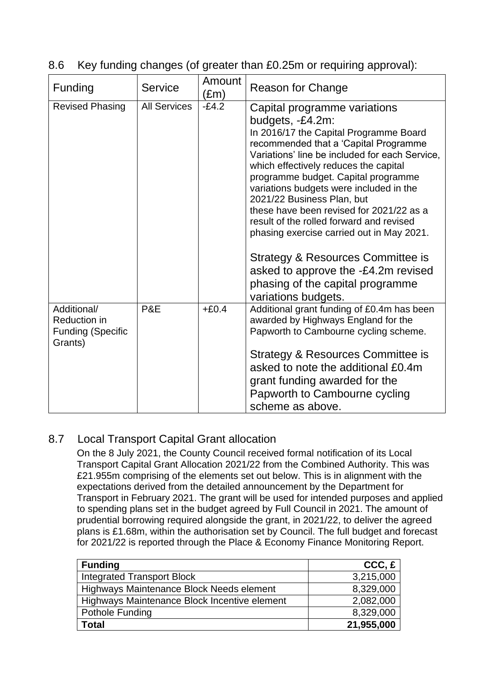|  | 8.6 Key funding changes (of greater than £0.25m or requiring approval): |  |
|--|-------------------------------------------------------------------------|--|
|  |                                                                         |  |

| Funding                                                            | <b>Service</b>      | Amount<br>$(\text{Em})$ | <b>Reason for Change</b>                                                                                                                                                                                                                                                                                                                                                                                                                                                                                                 |
|--------------------------------------------------------------------|---------------------|-------------------------|--------------------------------------------------------------------------------------------------------------------------------------------------------------------------------------------------------------------------------------------------------------------------------------------------------------------------------------------------------------------------------------------------------------------------------------------------------------------------------------------------------------------------|
| <b>Revised Phasing</b>                                             | <b>All Services</b> | $-E4.2$                 | Capital programme variations<br>budgets, -£4.2m:<br>In 2016/17 the Capital Programme Board<br>recommended that a 'Capital Programme<br>Variations' line be included for each Service,<br>which effectively reduces the capital<br>programme budget. Capital programme<br>variations budgets were included in the<br>2021/22 Business Plan, but<br>these have been revised for 2021/22 as a<br>result of the rolled forward and revised<br>phasing exercise carried out in May 2021.<br>Strategy & Resources Committee is |
|                                                                    |                     |                         | asked to approve the -£4.2m revised<br>phasing of the capital programme<br>variations budgets.                                                                                                                                                                                                                                                                                                                                                                                                                           |
| Additional/<br>Reduction in<br><b>Funding (Specific</b><br>Grants) | P&E                 | $+£0.4$                 | Additional grant funding of £0.4m has been<br>awarded by Highways England for the<br>Papworth to Cambourne cycling scheme.                                                                                                                                                                                                                                                                                                                                                                                               |
|                                                                    |                     |                         | Strategy & Resources Committee is<br>asked to note the additional £0.4m<br>grant funding awarded for the<br>Papworth to Cambourne cycling<br>scheme as above.                                                                                                                                                                                                                                                                                                                                                            |

# 8.7 Local Transport Capital Grant allocation

On the 8 July 2021, the County Council received formal notification of its Local Transport Capital Grant Allocation 2021/22 from the Combined Authority. This was £21.955m comprising of the elements set out below. This is in alignment with the expectations derived from the detailed announcement by the Department for Transport in February 2021. The grant will be used for intended purposes and applied to spending plans set in the budget agreed by Full Council in 2021. The amount of prudential borrowing required alongside the grant, in 2021/22, to deliver the agreed plans is £1.68m, within the authorisation set by Council. The full budget and forecast for 2021/22 is reported through the Place & Economy Finance Monitoring Report.

| <b>Funding</b>                               | $CCC, \epsilon$ |
|----------------------------------------------|-----------------|
| <b>Integrated Transport Block</b>            | 3,215,000       |
| Highways Maintenance Block Needs element     | 8,329,000       |
| Highways Maintenance Block Incentive element | 2,082,000       |
| Pothole Funding                              | 8,329,000       |
| Total                                        | 21,955,000      |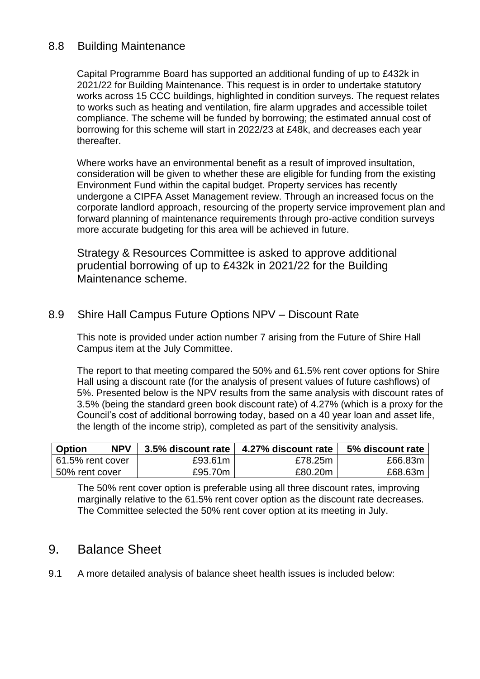### 8.8 Building Maintenance

Capital Programme Board has supported an additional funding of up to £432k in 2021/22 for Building Maintenance. This request is in order to undertake statutory works across 15 CCC buildings, highlighted in condition surveys. The request relates to works such as heating and ventilation, fire alarm upgrades and accessible toilet compliance. The scheme will be funded by borrowing; the estimated annual cost of borrowing for this scheme will start in 2022/23 at £48k, and decreases each year thereafter.

Where works have an environmental benefit as a result of improved insultation, consideration will be given to whether these are eligible for funding from the existing Environment Fund within the capital budget. Property services has recently undergone a CIPFA Asset Management review. Through an increased focus on the corporate landlord approach, resourcing of the property service improvement plan and forward planning of maintenance requirements through pro-active condition surveys more accurate budgeting for this area will be achieved in future.

Strategy & Resources Committee is asked to approve additional prudential borrowing of up to £432k in 2021/22 for the Building Maintenance scheme.

### 8.9 Shire Hall Campus Future Options NPV – Discount Rate

This note is provided under action number 7 arising from the Future of Shire Hall Campus item at the July Committee.

The report to that meeting compared the 50% and 61.5% rent cover options for Shire Hall using a discount rate (for the analysis of present values of future cashflows) of 5%. Presented below is the NPV results from the same analysis with discount rates of 3.5% (being the standard green book discount rate) of 4.27% (which is a proxy for the Council's cost of additional borrowing today, based on a 40 year loan and asset life, the length of the income strip), completed as part of the sensitivity analysis.

| <b>NPV</b><br><b>Option</b> | 3.5% discount rate | 4.27% discount rate | 5% discount rate |
|-----------------------------|--------------------|---------------------|------------------|
| 61.5% rent cover            | £93.61m            | £78.25m             | £66.83m          |
| 50% rent cover              | £95.70m            | £80.20m             | £68.63m          |

The 50% rent cover option is preferable using all three discount rates, improving marginally relative to the 61.5% rent cover option as the discount rate decreases. The Committee selected the 50% rent cover option at its meeting in July.

# 9. Balance Sheet

9.1 A more detailed analysis of balance sheet health issues is included below: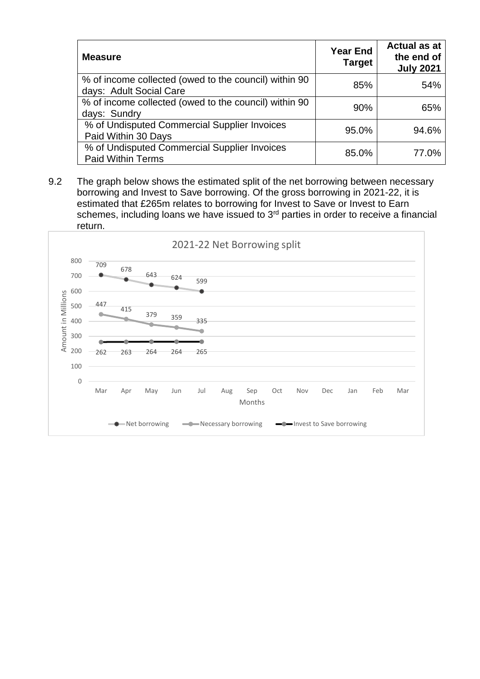| <b>Measure</b>                                                                   | <b>Year End</b><br><b>Target</b> | <b>Actual as at</b><br>the end of<br><b>July 2021</b> |
|----------------------------------------------------------------------------------|----------------------------------|-------------------------------------------------------|
| % of income collected (owed to the council) within 90<br>days: Adult Social Care | 85%                              | 54%                                                   |
| % of income collected (owed to the council) within 90<br>days: Sundry            | 90%                              | 65%                                                   |
| % of Undisputed Commercial Supplier Invoices<br>Paid Within 30 Days              | 95.0%                            | 94.6%                                                 |
| % of Undisputed Commercial Supplier Invoices<br><b>Paid Within Terms</b>         | 85.0%                            | 77.0%                                                 |

9.2 The graph below shows the estimated split of the net borrowing between necessary borrowing and Invest to Save borrowing. Of the gross borrowing in 2021-22, it is estimated that £265m relates to borrowing for Invest to Save or Invest to Earn schemes, including loans we have issued to 3<sup>rd</sup> parties in order to receive a financial return.

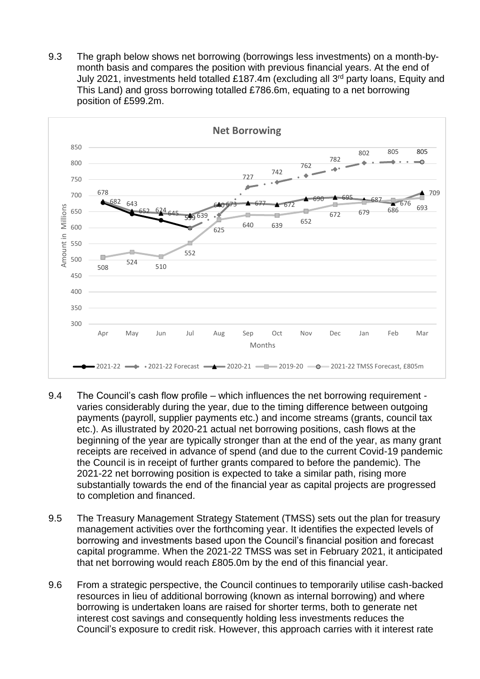9.3 The graph below shows net borrowing (borrowings less investments) on a month-bymonth basis and compares the position with previous financial years. At the end of July 2021, investments held totalled £187.4m (excluding all 3 rd party loans, Equity and This Land) and gross borrowing totalled £786.6m, equating to a net borrowing position of £599.2m.



- 9.4 The Council's cash flow profile which influences the net borrowing requirement varies considerably during the year, due to the timing difference between outgoing payments (payroll, supplier payments etc.) and income streams (grants, council tax etc.). As illustrated by 2020-21 actual net borrowing positions, cash flows at the beginning of the year are typically stronger than at the end of the year, as many grant receipts are received in advance of spend (and due to the current Covid-19 pandemic the Council is in receipt of further grants compared to before the pandemic). The 2021-22 net borrowing position is expected to take a similar path, rising more substantially towards the end of the financial year as capital projects are progressed to completion and financed.
- 9.5 The Treasury Management Strategy Statement (TMSS) sets out the plan for treasury management activities over the forthcoming year. It identifies the expected levels of borrowing and investments based upon the Council's financial position and forecast capital programme. When the 2021-22 TMSS was set in February 2021, it anticipated that net borrowing would reach £805.0m by the end of this financial year.
- 9.6 From a strategic perspective, the Council continues to temporarily utilise cash-backed resources in lieu of additional borrowing (known as internal borrowing) and where borrowing is undertaken loans are raised for shorter terms, both to generate net interest cost savings and consequently holding less investments reduces the Council's exposure to credit risk. However, this approach carries with it interest rate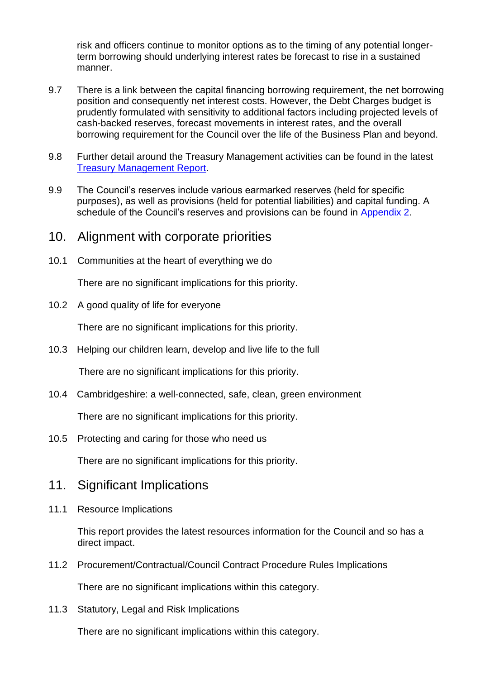risk and officers continue to monitor options as to the timing of any potential longerterm borrowing should underlying interest rates be forecast to rise in a sustained manner.

- 9.7 There is a link between the capital financing borrowing requirement, the net borrowing position and consequently net interest costs. However, the Debt Charges budget is prudently formulated with sensitivity to additional factors including projected levels of cash-backed reserves, forecast movements in interest rates, and the overall borrowing requirement for the Council over the life of the Business Plan and beyond.
- 9.8 Further detail around the Treasury Management activities can be found in the latest [Treasury Management Report.](https://cambridgeshire.cmis.uk.com/CCC_live/Document.ashx?czJKcaeAi5tUFL1DTL2UE4zNRBcoShgo=p%2fGh27bf%2b8dihmG%2fQAgNuTxT6WFFnMYtbUvS2kAbohN14nWC85JtaQ%3d%3d&rUzwRPf%2bZ3zd4E7Ikn8Lyw%3d%3d=pwRE6AGJFLDNlh225F5QMaQWCtPHwdhUfCZ%2fLUQzgA2uL5jNRG4jdQ%3d%3d&mCTIbCubSFfXsDGW9IXnlg%3d%3d=hFflUdN3100%3d&kCx1AnS9%2fpWZQ40DXFvdEw%3d%3d=hFflUdN3100%3d&uJovDxwdjMPoYv%2bAJvYtyA%3d%3d=ctNJFf55vVA%3d&FgPlIEJYlotS%2bYGoBi5olA%3d%3d=NHdURQburHA%3d&d9Qjj0ag1Pd993jsyOJqFvmyB7X0CSQK=ctNJFf55vVA%3d&WGewmoAfeNR9xqBux0r1Q8Za60lavYmz=ctNJFf55vVA%3d&WGewmoAfeNQ16B2MHuCpMRKZMwaG1PaO=ctNJFf55vVA%3d)
- 9.9 The Council's reserves include various earmarked reserves (held for specific purposes), as well as provisions (held for potential liabilities) and capital funding. A schedule of the Council's reserves and provisions can be found in [Appendix 2.](#page-28-0)

### 10. Alignment with corporate priorities

10.1 Communities at the heart of everything we do

There are no significant implications for this priority.

10.2 A good quality of life for everyone

There are no significant implications for this priority.

10.3 Helping our children learn, develop and live life to the full

There are no significant implications for this priority.

10.4 Cambridgeshire: a well-connected, safe, clean, green environment

There are no significant implications for this priority.

10.5 Protecting and caring for those who need us

There are no significant implications for this priority.

# 11. Significant Implications

11.1 Resource Implications

This report provides the latest resources information for the Council and so has a direct impact.

11.2 Procurement/Contractual/Council Contract Procedure Rules Implications

There are no significant implications within this category.

11.3 Statutory, Legal and Risk Implications

There are no significant implications within this category.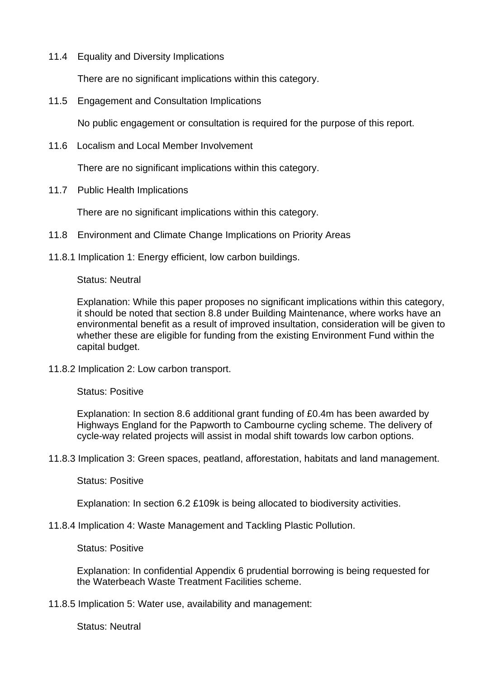11.4 Equality and Diversity Implications

There are no significant implications within this category.

11.5 Engagement and Consultation Implications

No public engagement or consultation is required for the purpose of this report.

11.6 Localism and Local Member Involvement

There are no significant implications within this category.

11.7 Public Health Implications

There are no significant implications within this category.

- 11.8 Environment and Climate Change Implications on Priority Areas
- 11.8.1 Implication 1: Energy efficient, low carbon buildings.

#### Status: Neutral

Explanation: While this paper proposes no significant implications within this category, it should be noted that section 8.8 under Building Maintenance, where works have an environmental benefit as a result of improved insultation, consideration will be given to whether these are eligible for funding from the existing Environment Fund within the capital budget.

11.8.2 Implication 2: Low carbon transport.

Status: Positive

Explanation: In section 8.6 additional grant funding of £0.4m has been awarded by Highways England for the Papworth to Cambourne cycling scheme. The delivery of cycle-way related projects will assist in modal shift towards low carbon options.

11.8.3 Implication 3: Green spaces, peatland, afforestation, habitats and land management.

#### Status: Positive

Explanation: In section 6.2 £109k is being allocated to biodiversity activities.

11.8.4 Implication 4: Waste Management and Tackling Plastic Pollution.

Status: Positive

Explanation: In confidential Appendix 6 prudential borrowing is being requested for the Waterbeach Waste Treatment Facilities scheme.

11.8.5 Implication 5: Water use, availability and management:

Status: Neutral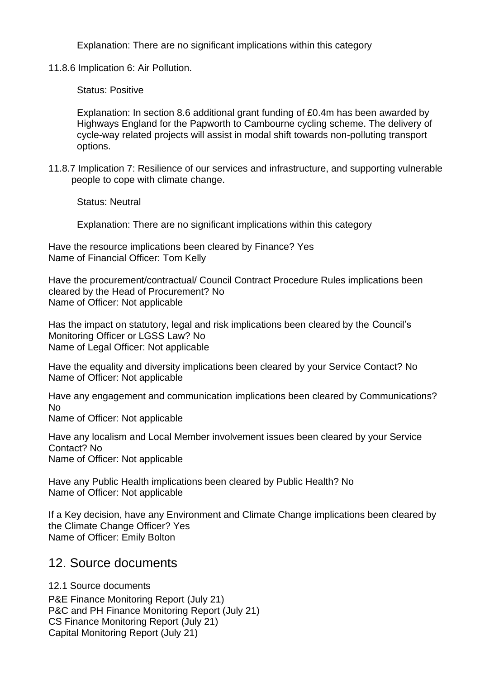Explanation: There are no significant implications within this category

11.8.6 Implication 6: Air Pollution.

Status: Positive

Explanation: In section 8.6 additional grant funding of £0.4m has been awarded by Highways England for the Papworth to Cambourne cycling scheme. The delivery of cycle-way related projects will assist in modal shift towards non-polluting transport options.

11.8.7 Implication 7: Resilience of our services and infrastructure, and supporting vulnerable people to cope with climate change.

Status: Neutral

Explanation: There are no significant implications within this category

Have the resource implications been cleared by Finance? Yes Name of Financial Officer: Tom Kelly

Have the procurement/contractual/ Council Contract Procedure Rules implications been cleared by the Head of Procurement? No Name of Officer: Not applicable

Has the impact on statutory, legal and risk implications been cleared by the Council's Monitoring Officer or LGSS Law? No Name of Legal Officer: Not applicable

Have the equality and diversity implications been cleared by your Service Contact? No Name of Officer: Not applicable

Have any engagement and communication implications been cleared by Communications? No

Name of Officer: Not applicable

Have any localism and Local Member involvement issues been cleared by your Service Contact? No Name of Officer: Not applicable

Have any Public Health implications been cleared by Public Health? No Name of Officer: Not applicable

If a Key decision, have any Environment and Climate Change implications been cleared by the Climate Change Officer? Yes Name of Officer: Emily Bolton

# 12. Source documents

12.1 Source documents

P&E Finance Monitoring Report (July 21) P&C and PH Finance Monitoring Report (July 21) CS Finance Monitoring Report (July 21) Capital Monitoring Report (July 21)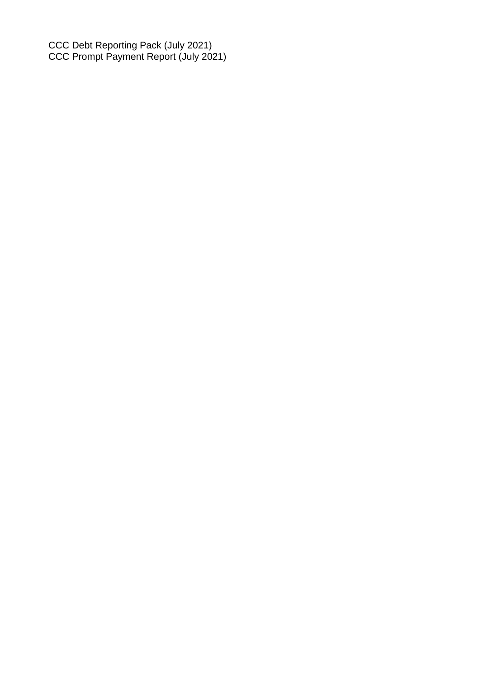CCC Debt Reporting Pack (July 2021) CCC Prompt Payment Report (July 2021)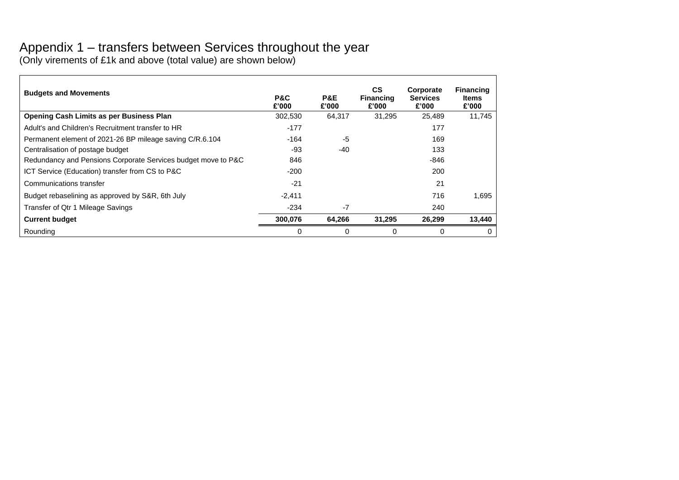# Appendix 1 – transfers between Services throughout the year

(Only virements of £1k and above (total value) are shown below)

<span id="page-27-0"></span>

| <b>Budgets and Movements</b>                                  | P&C<br>£'000 | P&E<br>£'000 | <b>CS</b><br><b>Financing</b><br>£'000 | Corporate<br><b>Services</b><br>£'000 | <b>Financing</b><br>Items<br>£'000 |
|---------------------------------------------------------------|--------------|--------------|----------------------------------------|---------------------------------------|------------------------------------|
| <b>Opening Cash Limits as per Business Plan</b>               | 302,530      | 64,317       | 31.295                                 | 25,489                                | 11,745                             |
| Adult's and Children's Recruitment transfer to HR             | $-177$       |              |                                        | 177                                   |                                    |
| Permanent element of 2021-26 BP mileage saving C/R.6.104      | -164         | -5           |                                        | 169                                   |                                    |
| Centralisation of postage budget                              | -93          | $-40$        |                                        | 133                                   |                                    |
| Redundancy and Pensions Corporate Services budget move to P&C | 846          |              |                                        | $-846$                                |                                    |
| ICT Service (Education) transfer from CS to P&C               | $-200$       |              |                                        | 200                                   |                                    |
| Communications transfer                                       | -21          |              |                                        | 21                                    |                                    |
| Budget rebaselining as approved by S&R, 6th July              | $-2,411$     |              |                                        | 716                                   | 1,695                              |
| Transfer of Qtr 1 Mileage Savings                             | $-234$       | $-7$         |                                        | 240                                   |                                    |
| <b>Current budget</b>                                         | 300,076      | 64,266       | 31,295                                 | 26,299                                | 13,440                             |
| Rounding                                                      |              |              | 0                                      | 0                                     | 0                                  |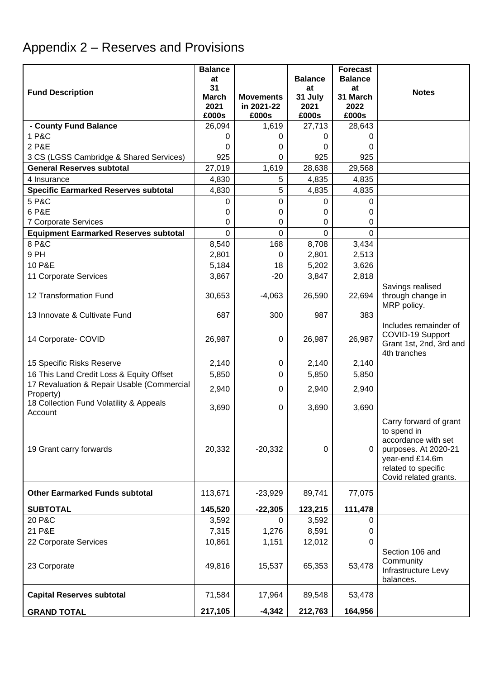# <span id="page-28-0"></span>Appendix 2 – Reserves and Provisions

|                                                    | <b>Balance</b>       |                                |                 | <b>Forecast</b>  |                                              |
|----------------------------------------------------|----------------------|--------------------------------|-----------------|------------------|----------------------------------------------|
|                                                    | at                   |                                | <b>Balance</b>  | <b>Balance</b>   |                                              |
| <b>Fund Description</b>                            | 31                   |                                | at              | at               | <b>Notes</b>                                 |
|                                                    | <b>March</b><br>2021 | <b>Movements</b><br>in 2021-22 | 31 July<br>2021 | 31 March<br>2022 |                                              |
|                                                    | £000s                | £000s                          | £000s           | £000s            |                                              |
| - County Fund Balance                              | 26,094               | 1,619                          | 27,713          | 28,643           |                                              |
| 1 P&C                                              | 0                    | $\Omega$                       | 0               | 0                |                                              |
| 2 P&E                                              | 0                    | 0                              | 0               | 0                |                                              |
| 3 CS (LGSS Cambridge & Shared Services)            | 925                  | 0                              | 925             | 925              |                                              |
| <b>General Reserves subtotal</b>                   | 27,019               | 1,619                          | 28,638          | 29,568           |                                              |
| 4 Insurance                                        | 4,830                | 5                              | 4,835           | 4,835            |                                              |
| <b>Specific Earmarked Reserves subtotal</b>        | 4,830                | 5                              | 4,835           | 4,835            |                                              |
| 5 P&C                                              | 0                    | 0                              | 0               | 0                |                                              |
| 6 P&E                                              | 0                    | 0                              | 0               | 0                |                                              |
| 7 Corporate Services                               | 0                    | 0                              | 0               | 0                |                                              |
| <b>Equipment Earmarked Reserves subtotal</b>       | $\Omega$             | $\mathbf 0$                    | $\Omega$        | 0                |                                              |
| 8 P&C                                              | 8,540                | 168                            | 8,708           | 3,434            |                                              |
| 9 PH                                               | 2,801                | 0                              | 2,801           | 2,513            |                                              |
| 10 P&E                                             | 5,184                | 18                             | 5,202           | 3,626            |                                              |
| 11 Corporate Services                              | 3,867                | $-20$                          | 3,847           | 2,818            |                                              |
|                                                    |                      |                                |                 |                  | Savings realised                             |
| 12 Transformation Fund                             | 30,653               | $-4,063$                       | 26,590          | 22,694           | through change in                            |
|                                                    |                      |                                |                 |                  | MRP policy.                                  |
| 13 Innovate & Cultivate Fund                       | 687                  | 300                            | 987             | 383              | Includes remainder of                        |
|                                                    |                      |                                |                 |                  | COVID-19 Support                             |
| 14 Corporate- COVID                                | 26,987               | $\mathbf 0$                    | 26,987          | 26,987           | Grant 1st, 2nd, 3rd and                      |
|                                                    |                      |                                |                 |                  | 4th tranches                                 |
| 15 Specific Risks Reserve                          | 2,140                | 0                              | 2,140           | 2,140            |                                              |
| 16 This Land Credit Loss & Equity Offset           | 5,850                | 0                              | 5,850           | 5,850            |                                              |
| 17 Revaluation & Repair Usable (Commercial         | 2,940                | $\Omega$                       | 2,940           | 2,940            |                                              |
| Property)                                          |                      |                                |                 |                  |                                              |
| 18 Collection Fund Volatility & Appeals<br>Account | 3,690                | 0                              | 3,690           | 3,690            |                                              |
|                                                    |                      |                                |                 |                  | Carry forward of grant                       |
|                                                    |                      |                                |                 |                  | to spend in                                  |
|                                                    |                      |                                |                 |                  | accordance with set                          |
| 19 Grant carry forwards                            | 20,332               | $-20,332$                      | 0               | $\mathbf{0}$     | purposes. At 2020-21                         |
|                                                    |                      |                                |                 |                  | year-end £14.6m                              |
|                                                    |                      |                                |                 |                  | related to specific<br>Covid related grants. |
|                                                    |                      |                                |                 |                  |                                              |
| <b>Other Earmarked Funds subtotal</b>              | 113,671              | $-23,929$                      | 89,741          | 77,075           |                                              |
| <b>SUBTOTAL</b>                                    | 145,520              | $-22,305$                      | 123,215         | 111,478          |                                              |
| 20 P&C                                             | 3,592                | 0                              | 3,592           | 0                |                                              |
| 21 P&E                                             | 7,315                | 1,276                          | 8,591           | 0                |                                              |
| 22 Corporate Services                              | 10,861               | 1,151                          | 12,012          | 0                |                                              |
|                                                    |                      |                                |                 |                  | Section 106 and                              |
| 23 Corporate                                       | 49,816               | 15,537                         | 65,353          | 53,478           | Community                                    |
|                                                    |                      |                                |                 |                  | Infrastructure Levy                          |
|                                                    |                      |                                |                 |                  | balances.                                    |
| <b>Capital Reserves subtotal</b>                   | 71,584               | 17,964                         | 89,548          | 53,478           |                                              |
| <b>GRAND TOTAL</b>                                 | 217,105              | $-4,342$                       | 212,763         | 164,956          |                                              |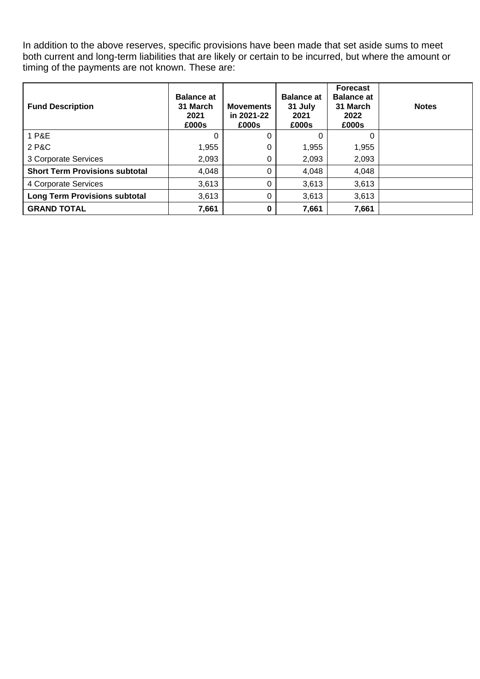In addition to the above reserves, specific provisions have been made that set aside sums to meet both current and long-term liabilities that are likely or certain to be incurred, but where the amount or timing of the payments are not known. These are:

| <b>Fund Description</b>               | <b>Balance at</b><br>31 March<br>2021<br>£000s | <b>Movements</b><br>in 2021-22<br>£000s | <b>Balance at</b><br>31 July<br>2021<br>£000s | <b>Forecast</b><br><b>Balance at</b><br>31 March<br>2022<br>£000s | <b>Notes</b> |
|---------------------------------------|------------------------------------------------|-----------------------------------------|-----------------------------------------------|-------------------------------------------------------------------|--------------|
| 1 P&E                                 | $\Omega$                                       | 0                                       |                                               | 0                                                                 |              |
| 2 P&C                                 | 1,955                                          | 0                                       | 1,955                                         | 1,955                                                             |              |
| 3 Corporate Services                  | 2,093                                          | 0                                       | 2,093                                         | 2,093                                                             |              |
| <b>Short Term Provisions subtotal</b> | 4,048                                          | 0                                       | 4,048                                         | 4,048                                                             |              |
| 4 Corporate Services                  | 3,613                                          | 0                                       | 3,613                                         | 3,613                                                             |              |
| <b>Long Term Provisions subtotal</b>  | 3,613                                          | 0                                       | 3,613                                         | 3,613                                                             |              |
| <b>GRAND TOTAL</b>                    | 7,661                                          | 0                                       | 7,661                                         | 7,661                                                             |              |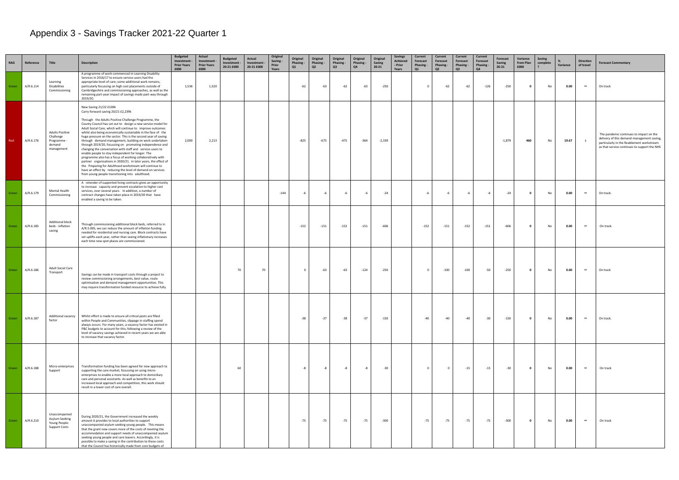# <span id="page-30-0"></span>Appendix 3 - Savings Tracker 2021-22 Quarter 1

| RAG   | Reference | Title                                                                    | <b>Description</b>                                                                                                                                                                                                                                                                                                                                                                                                                                                                                                                                                                                                                                                                                                                                                                                                                                                                                                                         | <b>Budgeted</b><br>Investment<br><b>Prior Years</b><br>£000 | Actual<br>Investment<br><b>Prior Years</b><br>£000 | <b>Budgeted</b><br>Investment -<br>20-21 £000 | Actual<br>Investment -<br>20-21 £000 | Original<br>Saving -<br>Prior<br>Years | Original<br>Phasing -<br>Q1 | Original<br>Phasing -<br>Q2 | Original<br>Phasing -<br>Q3 | Original<br>Phasing -<br>Q4 | Original<br>Saving<br>$20 - 21$ | Savings<br><b>Achieved</b><br>- Prior<br>Years | Current<br>Forecast<br>Phasing -<br>Q1 | Current<br>Forecast<br>Phasing -<br>Q2 | <b>Current</b><br>Forecast<br>Phasing -<br>Q3 | Current<br>Forecast<br>Phasing -<br>Q4 | Forecast<br><b>Saving</b><br>$20 - 21$ | Variance<br>from Plan<br>£000 | <b>Saving</b><br>complete | Variance | <b>Direction</b><br>of travel | <b>Forecast Commentary</b>                                                                                                                                                         |
|-------|-----------|--------------------------------------------------------------------------|--------------------------------------------------------------------------------------------------------------------------------------------------------------------------------------------------------------------------------------------------------------------------------------------------------------------------------------------------------------------------------------------------------------------------------------------------------------------------------------------------------------------------------------------------------------------------------------------------------------------------------------------------------------------------------------------------------------------------------------------------------------------------------------------------------------------------------------------------------------------------------------------------------------------------------------------|-------------------------------------------------------------|----------------------------------------------------|-----------------------------------------------|--------------------------------------|----------------------------------------|-----------------------------|-----------------------------|-----------------------------|-----------------------------|---------------------------------|------------------------------------------------|----------------------------------------|----------------------------------------|-----------------------------------------------|----------------------------------------|----------------------------------------|-------------------------------|---------------------------|----------|-------------------------------|------------------------------------------------------------------------------------------------------------------------------------------------------------------------------------|
| Green | A/R.6.114 | Learning<br>Disabilities<br>Commissioning                                | A programme of work commenced in Learning Disability<br>Services in 2016/17 to ensure service-users had the<br>appropriate level of care; some additional work remains,<br>particularly focussing on high cost placements outside of<br>Cambridgeshire and commissioning approaches, as well as the<br>remaining part-year impact of savings made part-way through<br>2019/20.                                                                                                                                                                                                                                                                                                                                                                                                                                                                                                                                                             | 1,536                                                       | 1,520                                              |                                               |                                      |                                        | $-62$                       | $-63$                       | $-62$                       | $-63$                       | $-250$                          |                                                | $\overline{0}$                         | $-62$                                  | $-62$                                         | $-126$                                 | $-250$                                 | $\mathbf{0}$                  | No                        | 0.00     | $\leftrightarrow$             | On track                                                                                                                                                                           |
| Red   | A/R.6.176 | <b>Adults Positive</b><br>Challenge<br>Programme<br>demand<br>management | New Saving 21/22 £100k<br>Carry-forward saving 20/21 £2,239k<br>Through the Adults Positive Challenge Programme, the<br>County Council has set out to design a new service model for<br>Adult Social Care, which will continue to improve outcomes<br>whilst also being economically sustainable in the face of the<br>huge pressure on the sector. This is the second year of saving<br>through demand management, building on work undertaken<br>through 2019/20, focussing on promoting independence and<br>changing the conversation with staff and service-users to<br>enable people to stay independent for longer. The<br>programme also has a focus of working collaboratively with<br>partner organisations in 2020/21. In later years, the effect of<br>the Preparing for Adulthood workstream will continue to<br>have an effect by reducing the level of demand on services<br>from young people transitioning into adulthood. | 2,000                                                       | 2,213                                              |                                               |                                      |                                        | $-825$                      | $-675$                      | $-475$                      | -364                        | $-2,339$                        |                                                |                                        |                                        |                                               |                                        | $-1,879$                               | 460                           | No                        | 19.67    |                               | The pandemic continues to impact on the<br>delivery of this demand management saving,<br>particularly in the Reablement workstream<br>as that service continues to support the NHS |
| Green | A/R.6.179 | Mental Health<br>Commissioning                                           | A retender of supported living contracts gives an opportunity<br>to increase capacity and prevent escalation to higher cost<br>services, over several years. In addition, a number of<br>contract changes have taken place in 2019/20 that have<br>enabled a saving to be taken.                                                                                                                                                                                                                                                                                                                                                                                                                                                                                                                                                                                                                                                           |                                                             |                                                    |                                               |                                      | $-144$                                 | -6                          | -6                          | -6                          | -6                          | $-24$                           |                                                | -6                                     | -6                                     | -6                                            | -6                                     | $-24$                                  | $\mathbf{0}$                  | No                        | 0.00     | $\leftrightarrow$             | On track.                                                                                                                                                                          |
| Green | A/R.6.185 | Additional block<br>beds - inflation<br>saving                           | Through commissioning additional block beds, referred to in<br>A/R.5.005, we can reduce the amount of inflation funding<br>needed for residential and nursing care. Block contracts have<br>set uplifts each year, rather than seeing inflationary increases<br>each time new spot places are commissioned.                                                                                                                                                                                                                                                                                                                                                                                                                                                                                                                                                                                                                                |                                                             |                                                    |                                               |                                      |                                        | $-152$                      | $-151$                      | $-152$                      | $-151$                      | $-606$                          |                                                | $-152$                                 | $-151$                                 | $-152$                                        | $-151$                                 | $-606$                                 | $\mathbf{0}$                  | No                        | 0.00     | $\leftrightarrow$             | On track.                                                                                                                                                                          |
| Green | A/R.6.186 | Adult Social Care<br>Transport                                           | Savings can be made in transport costs through a project to<br>review commissioning arrangements, best value, route<br>optimisation and demand management opportunities. This<br>may require transformation funded resource to achieve fully.                                                                                                                                                                                                                                                                                                                                                                                                                                                                                                                                                                                                                                                                                              |                                                             |                                                    | 70                                            | 70                                   |                                        | $^{\circ}$                  | $-63$                       | $-63$                       | $-124$                      | $-250$                          |                                                | $\Omega$                               | $-100$                                 | $-100$                                        | -50                                    | $-250$                                 | $\mathbf{0}$                  | No                        | 0.00     | $\leftrightarrow$             | On track                                                                                                                                                                           |
| Green | A/R.6.187 | Additional vacancy<br>factor                                             | Whilst effort is made to ensure all critical posts are filled<br>within People and Communities, slippage in staffing spend<br>always occurs. For many years, a vacancy factor has existed in<br>P&C budgets to account for this; following a review of the<br>level of vacancy savings achieved in recent years we are able<br>to increase that vacancy factor.                                                                                                                                                                                                                                                                                                                                                                                                                                                                                                                                                                            |                                                             |                                                    |                                               |                                      |                                        | $-38$                       | $-37$                       | $-38$                       | $-37$                       | $-150$                          |                                                | $-40$                                  | $-40$                                  | $-40$                                         | $-30$                                  | $-150$                                 | $\mathbf{0}$                  | No                        | 0.00     | $\leftrightarrow$             | On track.                                                                                                                                                                          |
| Green | A/R.6.188 | Micro-enterprises<br>Support                                             | Transformation funding has been agreed for new approach to<br>supporting the care market, focussing on using micro-<br>enterprises to enable a more local approach to domiciliary<br>care and personal assistants. As well as benefits to an<br>increased local approach and competition, this work should<br>result in a lower cost of care overall.                                                                                                                                                                                                                                                                                                                                                                                                                                                                                                                                                                                      |                                                             |                                                    | 60                                            |                                      |                                        | -8                          | -8                          | -8                          | -8                          | $-30$                           |                                                | $\Omega$                               |                                        | $-15$                                         | $-15$                                  | $-30$                                  | $\mathbf{0}$                  | No                        | 0.00     | $\leftrightarrow$             | On track                                                                                                                                                                           |
| Green | A/R.6.210 | Unaccompanied<br>Asylum Seeking<br>Young People:<br>Support Costs        | During 2020/21, the Government increased the weekly<br>amount it provides to local authorities to support<br>unaccompanied asylum seeking young people. This means<br>that the grant now covers more of the costs of meeting the<br>accommodation and support needs of unaccompanied asylum<br>seeking young people and care leavers. Accordingly, it is<br>possible to make a saving in the contribution to these costs<br>that the Council has historically made from core budgets of                                                                                                                                                                                                                                                                                                                                                                                                                                                    |                                                             |                                                    |                                               |                                      |                                        | $-75$                       | -75                         | $-75$                       | -75                         | $-300$                          |                                                | $-75$                                  | $-75$                                  | $-75$                                         | -75                                    | $-300$                                 | $\mathbf{0}$                  | No                        | 0.00     | $\leftrightarrow$             | On track                                                                                                                                                                           |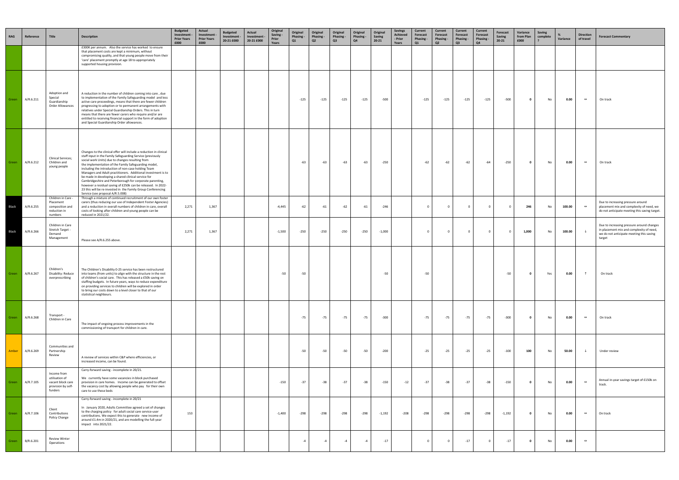| <b>RAG</b> | Reference | Title                                                                               | <b>Description</b>                                                                                                                                                                                                                                                                                                                                                                                                                                                                                                                                                                                                                                          | <b>Budgeted</b><br>Investment<br><b>Prior Years</b><br>£000 | Actual<br>Investment -<br><b>Prior Years</b><br>£000 | <b>Budgeted</b><br>Investment -<br>20-21 £000 | <b>Actual</b><br>Investment<br>20-21 £000 | Original<br>Saving -<br>Prior<br>Years | Original<br>Phasing -<br>Q1 | Original<br>Phasing -<br>Q <sub>2</sub> | Original<br>Phasing -<br>Q3 | Original<br>Phasing -<br>Q4 | Original<br>Saving<br>$20 - 21$ | <b>Savings</b><br><b>Achieved</b><br>- Prior<br>Years | Current<br>Forecast<br>Phasing -<br>Q1 | Current<br>Forecast<br>Phasing -<br>Q2 | Current<br>Forecast<br>Phasing -<br>Q3 | <b>Current</b><br>Forecast<br>Phasing -<br>Q4 | Forecast<br>Saving<br>$20 - 21$ | Variance<br>from Plan<br>£000 | <b>Saving</b><br>complete | Variance | <b>Direction</b><br>of travel | <b>Forecast Commentary</b>                                                                                                                  |
|------------|-----------|-------------------------------------------------------------------------------------|-------------------------------------------------------------------------------------------------------------------------------------------------------------------------------------------------------------------------------------------------------------------------------------------------------------------------------------------------------------------------------------------------------------------------------------------------------------------------------------------------------------------------------------------------------------------------------------------------------------------------------------------------------------|-------------------------------------------------------------|------------------------------------------------------|-----------------------------------------------|-------------------------------------------|----------------------------------------|-----------------------------|-----------------------------------------|-----------------------------|-----------------------------|---------------------------------|-------------------------------------------------------|----------------------------------------|----------------------------------------|----------------------------------------|-----------------------------------------------|---------------------------------|-------------------------------|---------------------------|----------|-------------------------------|---------------------------------------------------------------------------------------------------------------------------------------------|
|            |           |                                                                                     | £300K per annum. Also the service has worked to ensure<br>that placement costs are kept a minimum, without<br>compromising quality, and that young people move from their<br>'care' placement promptly at age 18 to appropriately<br>supported housing provision.                                                                                                                                                                                                                                                                                                                                                                                           |                                                             |                                                      |                                               |                                           |                                        |                             |                                         |                             |                             |                                 |                                                       |                                        |                                        |                                        |                                               |                                 |                               |                           |          |                               |                                                                                                                                             |
| Green      | A/R.6.211 | Adoption and<br>Special<br>Guardianship<br>Order Allowances                         | A reduction in the number of children coming into care, due<br>to implementation of the Family Safeguarding model and less<br>active care proceedings, means that there are fewer children<br>progressing to adoption or to permanent arrangements with<br>relatives under Special Guardianship Orders. This in turn<br>means that there are fewer carers who require and/or are<br>entitled to receiving financial support in the form of adoption<br>and Special Guardianship Order allowances.                                                                                                                                                           |                                                             |                                                      |                                               |                                           |                                        | $-125$                      | $-125$                                  | $-125$                      | $-125$                      | $-500$                          |                                                       | $-125$                                 | $-125$                                 | $-125$                                 | $-125$                                        | $-500$                          | $\mathbf{0}$                  | No                        | 0.00     | $\leftrightarrow$             | On track                                                                                                                                    |
| Green      | A/R.6.212 | Clinical Services;<br>Children and<br>young people                                  | Changes to the clinical offer will include a reduction in clinical<br>staff input in the Family Safeguarding Service (previously<br>social work Units) due to changes resulting from<br>the implementation of the Family Safeguarding model,<br>including the introduction of non-case holding Team<br>Managers and Adult practitioners. Additional investment is to<br>be made in developing a shared clinical service for<br>Cambridgeshire and Peterborough for corporate parenting,<br>however a residual saving of £250k can be released. In 2022-<br>23 this will be re-invested in the Family Group Conferencing<br>Service (see proposal A/R.5.008) |                                                             |                                                      |                                               |                                           |                                        | $-63$                       | $-63$                                   | $-63$                       | $-63$                       | $-250$                          |                                                       | $-62$                                  | $-62$                                  | $-62$                                  | $-64$                                         | $-250$                          | $\bullet$                     | No                        | 0.00     | $\leftrightarrow$             | On track                                                                                                                                    |
| Black      | A/R.6.255 | Children in Care -<br>Placement<br>composition and<br>reduction in<br>numbers       | Through a mixture of continued recruitment of our own foster<br>carers (thus reducing our use of Independent Foster Agencies)<br>and a reduction in overall numbers of children in care, overall<br>costs of looking after children and young people can be<br>reduced in 2021/22.                                                                                                                                                                                                                                                                                                                                                                          | 2,271                                                       | 1,367                                                |                                               |                                           | $-4,445$                               | $-62$                       | $-61$                                   | $-62$                       | $-61$                       | $-246$                          |                                                       | $\overline{0}$                         | $\Omega$                               | $\overline{0}$                         | $\mathbf{0}$                                  | - 0                             | 246                           | No                        | 100.00   | $\leftrightarrow$             | Due to increasing pressure around<br>placement mix and complexity of need, we<br>do not anticipate meeting this saving target.              |
| Black      | A/R.6.266 | Children in Care<br>Stretch Target -<br>Demand<br>Management                        | Please see A/R.6.255 above.                                                                                                                                                                                                                                                                                                                                                                                                                                                                                                                                                                                                                                 | 2,271                                                       | 1,367                                                |                                               |                                           | $-1,500$                               | $-250$                      | $-250$                                  | $-250$                      | $-250$                      | $-1,000$                        |                                                       | $\overline{\mathbf{0}}$                |                                        | $\overline{0}$                         | $\mathbf 0$                                   | - 0                             | 1,000                         | No                        | 100.00   |                               | Due to increasing pressure around changes<br>in placement mix and complexity of need,<br>we do not anticipate meeting this saving<br>target |
| Green      | A/R.6.267 | Children's<br>Disability: Reduce<br>overprescribing                                 | The Children's Disability 0-25 service has been restructured<br>into teams (from units) to align with the structure in the rest<br>of children's social care. This has released a £50k saving on<br>staffing budgets. In future years, ways to reduce expenditure<br>on providing services to children will be explored in order<br>to bring our costs down to a level closer to that of our<br>statistical neighbours.                                                                                                                                                                                                                                     |                                                             |                                                      |                                               |                                           | $-50$                                  | $-50$                       |                                         |                             |                             | $-50$                           |                                                       | $-50$                                  |                                        |                                        |                                               | $-50$                           | $\mathbf{0}$                  | Yes                       | 0.00     |                               | On track                                                                                                                                    |
| Green      | A/R.6.268 | Transport -<br>Children in Care                                                     | The impact of ongoing process improvements in the<br>commissioning of transport for children in care.                                                                                                                                                                                                                                                                                                                                                                                                                                                                                                                                                       |                                                             |                                                      |                                               |                                           |                                        | $-75$                       | $-75$                                   | $-75$                       | $-75$                       | $-300$                          |                                                       | $-75$                                  | $-75$                                  | $-75$                                  | $-75$                                         | $-300$                          | $\bullet$                     | No                        | 0.00     | $\leftrightarrow$             | On track                                                                                                                                    |
| Amber      | A/R.6.269 | Communities and<br>Partnership<br>Review                                            | A review of services within C&P where efficiencies, or<br>increased income, can be found.                                                                                                                                                                                                                                                                                                                                                                                                                                                                                                                                                                   |                                                             |                                                      |                                               |                                           |                                        | $-50$                       | $-50$                                   | $-50$                       | $-50$                       | $-200$                          |                                                       | $-25$                                  | $-25$                                  | $-25$                                  | $-25$                                         | $-100$                          | 100                           | No                        | 50.00    |                               | Under review                                                                                                                                |
| Green      | A/R.7.105 | Income from<br>utilisation of<br>vacant block care<br>provision by self-<br>funders | Carry-forward saving - incomplete in 20/21.<br>We currently have some vacancies in block purchased<br>provision in care homes. Income can be generated to offset<br>the vacancy cost by allowing people who pay for their own<br>care to use these beds                                                                                                                                                                                                                                                                                                                                                                                                     |                                                             |                                                      |                                               |                                           | $-150$                                 | $-37$                       | $-38$                                   | $-37$                       | $-38$                       | $-150$                          | $-12$                                                 | $-37$                                  | $-38$                                  | $-37$                                  | $-38$                                         | $-150$                          | $\mathbf{0}$                  | No                        | 0.00     | $\leftrightarrow$             | Annual in-year savings target of £150k on<br>track.                                                                                         |
| Green      | A/R.7.106 | Client<br>Contributions<br>Policy Change                                            | Carry-forward saving - incomplete in 20/21<br>In January 2020, Adults Committee agreed a set of changes<br>to the charging policy for adult social care service-user<br>contributions. We expect this to generate new income of<br>around £1.4m in 2020/21, and are modelling the full-year<br>impact into 2021/22.                                                                                                                                                                                                                                                                                                                                         | 153                                                         |                                                      |                                               |                                           | $-1,400$                               | $-298$                      | $-298$                                  | $-298$                      | -298                        | $-1,192$                        | $-208$                                                | $-298$                                 | $-298$                                 | $-298$                                 | $-298$                                        | $-1,192$                        | $\bullet$                     | No                        | 0.00     | $\leftrightarrow$             | On track                                                                                                                                    |
| Breen      | B/R.6.201 | Review Winter<br>Operations                                                         |                                                                                                                                                                                                                                                                                                                                                                                                                                                                                                                                                                                                                                                             |                                                             |                                                      |                                               |                                           |                                        | $-4$                        |                                         | $-4$                        | $-4$                        | $-17$                           |                                                       | $\mathbf 0$                            | $\Omega$                               | $-17$                                  | $\mathbf 0$                                   | $-17$                           | $\bullet$                     | No                        | 0.00     | $\leftrightarrow$             |                                                                                                                                             |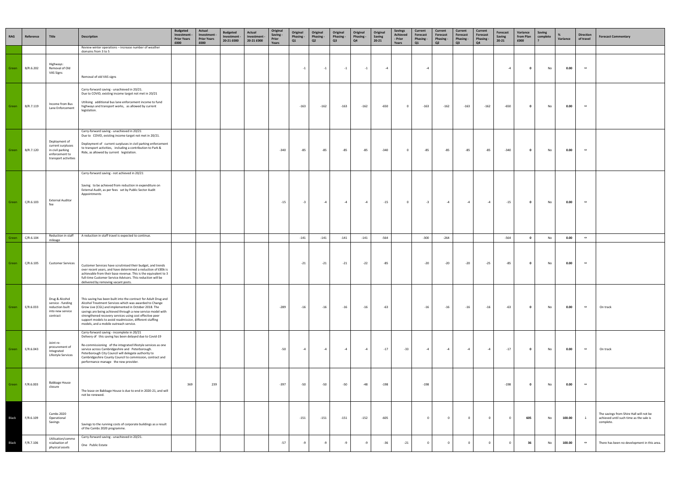| RAG          | Reference | Title                                                                                            | <b>Description</b>                                                                                                                                                                                                                                                                                                                                                                                                | <b>Budgeted</b><br>Investment -<br><b>Prior Years</b><br>£000 | Actual<br>Investment -<br><b>Prior Years</b><br>£000 | <b>Budgeted</b><br>Investment -<br>20-21 £000 | Actual<br>Investment -<br>20-21 £000 | Original<br>Saving -<br>Prior<br>Years | Original<br>Phasing -<br>Q1 | Original<br><b>Phasing -</b><br>Q2 | Original<br>Phasing -<br>Q3 | Original<br>Phasing -<br>Q4 | Original<br>Saving<br>$20 - 21$ | <b>Savings</b><br><b>Achieved</b><br>- Prior<br>Years | Current<br>Forecast<br>Phasing -<br>Q1 | Current<br>Forecast<br>Phasing -<br>Q <sub>2</sub> | Current<br>Forecast<br><b>Phasing -</b><br>Q3 | <b>Current</b><br>Forecast<br>Phasing -<br>Q4 | Forecast<br>Saving<br>$20 - 21$ | Variance<br>from Plan<br>£000 | Saving<br>complete | ℅<br>Variance | <b>Direction</b><br>of travel | <b>Forecast Commentary</b>                                                                      |
|--------------|-----------|--------------------------------------------------------------------------------------------------|-------------------------------------------------------------------------------------------------------------------------------------------------------------------------------------------------------------------------------------------------------------------------------------------------------------------------------------------------------------------------------------------------------------------|---------------------------------------------------------------|------------------------------------------------------|-----------------------------------------------|--------------------------------------|----------------------------------------|-----------------------------|------------------------------------|-----------------------------|-----------------------------|---------------------------------|-------------------------------------------------------|----------------------------------------|----------------------------------------------------|-----------------------------------------------|-----------------------------------------------|---------------------------------|-------------------------------|--------------------|---------------|-------------------------------|-------------------------------------------------------------------------------------------------|
|              |           |                                                                                                  | Review winter operations - increase number of weather<br>domains from 3 to 5                                                                                                                                                                                                                                                                                                                                      |                                                               |                                                      |                                               |                                      |                                        |                             |                                    |                             |                             |                                 |                                                       |                                        |                                                    |                                               |                                               |                                 |                               |                    |               |                               |                                                                                                 |
| Green        | B/R.6.202 | Highways:<br>Removal of Old<br>VAS Signs                                                         | Removal of old VAS signs                                                                                                                                                                                                                                                                                                                                                                                          |                                                               |                                                      |                                               |                                      |                                        | $-1$                        | $-1$                               | $-1$                        | $-1$                        | $-4$                            |                                                       | $-4$                                   |                                                    |                                               |                                               | -4                              | $\mathbf{0}$                  | No                 | 0.00          | $\leftrightarrow$             |                                                                                                 |
| Green        | B/R.7.119 | Income from Bus<br>Lane Enforcement                                                              | Carry-forward saving - unachieved in 20/21.<br>Due to COVID, existing income target not met in 20/21<br>Utilising additional bus lane enforcement income to fund<br>highways and transport works, as allowed by current<br>legislation.                                                                                                                                                                           |                                                               |                                                      |                                               |                                      |                                        | $-163$                      | $-162$                             | $-163$                      | $-162$                      | $-650$                          | $\overline{\mathbf{0}}$                               | $-163$                                 | $-162$                                             | $-163$                                        | $-162$                                        | $-650$                          | $\mathbf{0}$                  | No                 | 0.00          | $\leftrightarrow$             |                                                                                                 |
| Green        | B/R.7.120 | Deployment of<br>current surpluses<br>in civil parking<br>enforcement to<br>transport activities | Carry-forward saving - unachieved in 20/21<br>Due to COVID, existing income target not met in 20/21.<br>Deployment of current surpluses in civil parking enforcement<br>to transport activities, including a contribution to Park &<br>Ride, as allowed by current legislation.                                                                                                                                   |                                                               |                                                      |                                               |                                      | $-340$                                 | -85                         | $-85$                              | -85                         | $-85$                       | $-340$                          | $\overline{\mathbf{0}}$                               | -85                                    | -85                                                | -85                                           | -85                                           | $-340$                          | $\mathbf{0}$                  | No                 | 0.00          | $\leftrightarrow$             |                                                                                                 |
| Green        | C/R.6.103 | <b>External Auditor</b><br>fee                                                                   | Carry-forward saving - not achieved in 20/21<br>Saving to be achieved from reduction in expenditure on<br>External Audit, as per fees set by Public Sector Audit<br>Appointments                                                                                                                                                                                                                                  |                                                               |                                                      |                                               |                                      | $-15$                                  | $-3$                        | -4                                 | $-4$                        | $-4$                        | $-15$                           | $\overline{\mathbf{0}}$                               | $-3$                                   | $-4$                                               | $-4$                                          | $-4$                                          | $-15$                           | $\overline{\mathbf{0}}$       | No                 | 0.00          | $\leftrightarrow$             |                                                                                                 |
| Green        | C/R.6.104 | Reduction in staff<br>mileage                                                                    | A reduction in staff travel is expected to continue.                                                                                                                                                                                                                                                                                                                                                              |                                                               |                                                      |                                               |                                      |                                        | $-141$                      | $-141$                             | $-141$                      | $-141$                      | $-564$                          |                                                       | $-300$                                 | $-264$                                             |                                               |                                               | $-564$                          | $\overline{\mathbf{0}}$       | No                 | 0.00          | $\leftrightarrow$             |                                                                                                 |
| Green        | C/R.6.105 | <b>Customer Services</b>                                                                         | Customer Services have scrutinised their budget, and trends<br>over recent years, and have determined a reduction of £85k is<br>achievable from their base revenue. This is the equivalent to 3<br>full-time Customer Service Advisors. This reduction will be<br>delivered by removing vacant posts.                                                                                                             |                                                               |                                                      |                                               |                                      |                                        | $-21$                       | $-21$                              | $-21$                       | $-22$                       | -85                             |                                                       | $-20$                                  | $-20$                                              | $-20$                                         | $-25$                                         | -85                             | $\mathbf{0}$                  | No                 | 0.00          | $\leftrightarrow$             |                                                                                                 |
| Green        | E/R.6.033 | Drug & Alcohol<br>service - funding<br>reduction built<br>into new service<br>contract           | This saving has been built into the contract for Adult Drug and<br>Alcohol Treatment Services which was awarded to Change<br>Grow Live (CGL) and implemented in October 2018. The<br>savings are being achieved through a new service model with<br>strengthened recovery services using cost effective peer<br>support models to avoid readmission, different staffing<br>models, and a mobile outreach service. |                                                               |                                                      |                                               |                                      | $-289$                                 | $-16$                       | $-16$                              | $-16$                       | $-16$                       | $-63$                           |                                                       | $-16$                                  | $-16$                                              | $-16$                                         | $-16$                                         | $-63$                           | $\overline{\mathbf{0}}$       | No                 | 0.00          | $\leftrightarrow$             | On track                                                                                        |
| Green        | E/R.6.043 | Joint re-<br>procurement of<br>Integrated<br>Lifestyle Services                                  | Carry-forward saving - incomplete in 20/21<br>Delivery of this saving has been delayed due to Covid-19<br>Re-commissioning of the integrated lifestyle services as one<br>service across Cambridgeshire and Peterborough.<br>Peterborough City Council will delegate authority to<br>Cambridgeshire County Council to commission, contract and<br>performance manage the new provider.                            |                                                               |                                                      |                                               |                                      | $-50$                                  | $-4$                        | -4                                 | $-4$                        | $-4$                        | $-17$                           | $-33$                                                 | $-4$                                   | $-4$                                               | $-4$                                          | $-4$                                          | $-17$                           | $\overline{\mathbf{0}}$       | No                 | 0.00          | $\leftrightarrow$             | On track                                                                                        |
| Green        | F/R.6.003 | <b>Babbage House</b><br>closure                                                                  | The lease on Babbage House is due to end in 2020-21, and will<br>not be renewed.                                                                                                                                                                                                                                                                                                                                  | 369                                                           | 239                                                  |                                               |                                      | $-397$                                 | $-50$                       | $-50$                              | $-50$                       | $-48$                       | $-198$                          |                                                       | $-198$                                 |                                                    |                                               |                                               | $-198$                          | $\mathbf{0}$                  | No                 | 0.00          | $\leftrightarrow$             |                                                                                                 |
| Black        | F/R.6.109 | Cambs 2020<br>Operational<br>Savings                                                             | Savings to the running costs of corporate buildings as a result<br>of the Cambs 2020 programme.                                                                                                                                                                                                                                                                                                                   |                                                               |                                                      |                                               |                                      |                                        | $-151$                      | $-151$                             | $-151$                      | $-152$                      | $-605$                          |                                                       | $\mathbf 0$                            |                                                    | $\overline{0}$                                | $^{\circ}$                                    | $\mathbf{0}$                    | 605                           | No                 | 100.00        | $\downarrow$                  | The savings from Shire Hall will not be<br>achieved until such time as the sale is<br>complete. |
| <b>Black</b> | F/R.7.106 | Utilisation/comme<br>rcialisation of<br>physical assets                                          | Carry-forward saving - unachieved in 20/21.<br>One Public Estate                                                                                                                                                                                                                                                                                                                                                  |                                                               |                                                      |                                               |                                      | $-57$                                  | -9                          | -9                                 | -9                          | -9                          | $-36$                           | $-21$                                                 | $\overline{0}$                         | $\overline{0}$                                     | $\overline{0}$                                | $\mathbf 0$                                   | $\overline{0}$                  | 36                            | No                 | 100.00        | $\leftrightarrow$             | There has been no development in this area.                                                     |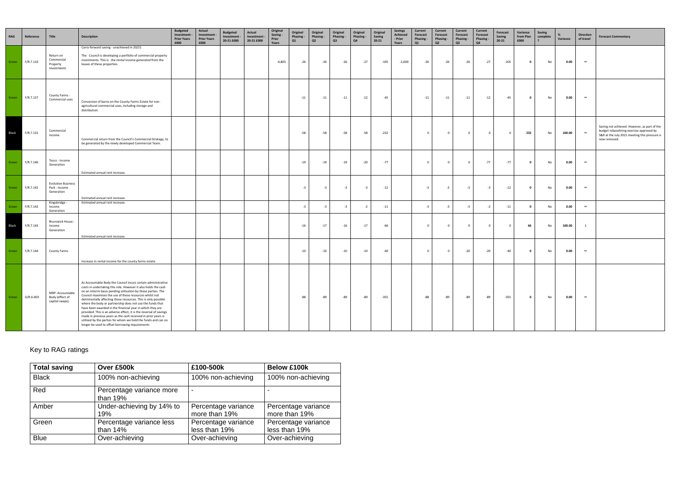| <b>RAG</b> | Reference | Title                                                    | <b>Description</b>                                                                                                                                                                                                                                                                                                                                                                                                                                                                                                                                                                                                                                                                                                 | <b>Budgeted</b><br>Investment<br><b>Prior Years</b><br>£000 | Actual<br>Investment<br><b>Prior Years</b><br>£000 | <b>Budgeted</b><br>Investment -<br>20-21 £000 | Actual<br>Investment -<br>20-21 £000 | Original<br>Saving -<br>Prior<br>Years | Original<br>Phasing -<br>Q1 | Original<br>Phasing -<br>Q2 | Original<br>Phasing -<br>Q3 | Original<br>Phasing -<br>Q4 | Original<br>Saving<br>$20 - 21$ | <b>Savings</b><br>Achieved<br>- Prior<br>Years | Current<br>Forecast<br>Phasing -<br>Q1 | Current<br>Forecast<br>Phasing -<br>Q <sub>2</sub> | <b>Current</b><br>Forecast<br>Phasing -<br>Q3 | <b>Current</b><br>Forecast<br>Phasing -<br>Q4 | Forecast<br>Saving<br>$20 - 21$ | Variance<br>from Plan<br>£000 | <b>Saving</b><br>complete | %<br>Variance | <b>Direction</b><br>of travel | <b>Forecast Commentary</b>                                                                                                                                |
|------------|-----------|----------------------------------------------------------|--------------------------------------------------------------------------------------------------------------------------------------------------------------------------------------------------------------------------------------------------------------------------------------------------------------------------------------------------------------------------------------------------------------------------------------------------------------------------------------------------------------------------------------------------------------------------------------------------------------------------------------------------------------------------------------------------------------------|-------------------------------------------------------------|----------------------------------------------------|-----------------------------------------------|--------------------------------------|----------------------------------------|-----------------------------|-----------------------------|-----------------------------|-----------------------------|---------------------------------|------------------------------------------------|----------------------------------------|----------------------------------------------------|-----------------------------------------------|-----------------------------------------------|---------------------------------|-------------------------------|---------------------------|---------------|-------------------------------|-----------------------------------------------------------------------------------------------------------------------------------------------------------|
| Green      | F/R.7.110 | Return on<br>Commercial<br>Property<br>Investments       | Carry-forward saving - unachieved in 20/21<br>The Council is developing a portfolio of commercial property<br>investments. This is the rental income generated from the<br>leases of these properties.                                                                                                                                                                                                                                                                                                                                                                                                                                                                                                             |                                                             |                                                    |                                               |                                      | $-4,805$                               | $-26$                       | $-26$                       | $-26$                       | $-27$                       | $-105$                          | $-2,600$                                       | $-26$                                  | $-26$                                              | $-26$                                         | $-27$                                         | $-105$                          | $\mathbf 0$                   | No                        | 0.00          | $\leftrightarrow$             |                                                                                                                                                           |
| Green      | F/R.7.127 | County Farms -<br>Commercial uses                        | Conversion of barns on the County Farms Estate for non-<br>agricultural commercial uses, including storage and<br>distribution.                                                                                                                                                                                                                                                                                                                                                                                                                                                                                                                                                                                    |                                                             |                                                    |                                               |                                      |                                        | $-11$                       | $-11$                       | $-11$                       | $-12$                       | $-45$                           |                                                | $-11$                                  | $-11$                                              | $-11$                                         | $-12$                                         | $-45$                           | $\mathbf{0}$                  | No                        | 0.00          | $\leftrightarrow$             |                                                                                                                                                           |
| Black      | F/R.7.131 | Commercial<br>Income                                     | Commercial return from the Council's Commercial Strategy, to<br>be generated by the newly developed Commercial Team.                                                                                                                                                                                                                                                                                                                                                                                                                                                                                                                                                                                               |                                                             |                                                    |                                               |                                      |                                        | $-58$                       | $-58$                       | $-58$                       | -58                         | $-232$                          |                                                | $^{\circ}$                             | $\mathbf{0}$                                       | $\overline{0}$                                | $\overline{0}$                                | $\Omega$                        | 232                           | No                        | 100.00        | $\leftrightarrow$             | Saving not achieved. However, as part of the<br>budget rebaselining exercise approved by<br>S&R at the July 2021 meeting this pressure is<br>now removed. |
| Green      | F/R.7.140 | Tesco - Income<br>Generation                             | Estimated annual rent increase.                                                                                                                                                                                                                                                                                                                                                                                                                                                                                                                                                                                                                                                                                    |                                                             |                                                    |                                               |                                      |                                        | $-19$                       | $-19$                       | $-19$                       | $-20$                       | $-77$                           |                                                | $\Omega$                               | $^{\circ}$                                         | $\overline{0}$                                | $-77$                                         | $-77$                           | $\mathbf 0$                   | No                        | 0.00          | $\leftrightarrow$             |                                                                                                                                                           |
| Green      | F/R.7.141 | <b>Evolution Business</b><br>Park - Income<br>Generation | Estimated annual rent increase.                                                                                                                                                                                                                                                                                                                                                                                                                                                                                                                                                                                                                                                                                    |                                                             |                                                    |                                               |                                      |                                        | $-3$                        | $-3$                        | $-3$                        | $-3$                        | $-12$                           |                                                | $-3$                                   | $-3$                                               | $-3$                                          | $-3$                                          | $-12$                           | $\mathbf{0}$                  | No                        | 0.00          | $\leftrightarrow$             |                                                                                                                                                           |
| Green      | F/R.7.142 | Kingsbridge<br>Income<br>Generation                      | Estimated annual rent increase.                                                                                                                                                                                                                                                                                                                                                                                                                                                                                                                                                                                                                                                                                    |                                                             |                                                    |                                               |                                      |                                        | $-3$                        | $-3$                        | $-3$                        | $-2$                        | $-11$                           |                                                | $-3$                                   | $-3$                                               | $-3$                                          | $-2$                                          | $-11$                           | $\mathbf{0}$                  | No                        | 0.00          | $\leftrightarrow$             |                                                                                                                                                           |
| Black      | F/R.7.143 | Brunswick House -<br>Income<br>Generation                | Estimated annual rent increase.                                                                                                                                                                                                                                                                                                                                                                                                                                                                                                                                                                                                                                                                                    |                                                             |                                                    |                                               |                                      |                                        | $-16$                       | $-17$                       | $-16$                       | $-17$                       | -66                             |                                                | $\Omega$                               | - 0                                                | $\mathbf 0$                                   | $\Omega$                                      | $\Omega$                        | 66                            | No                        | 100.00        | $\downarrow$                  |                                                                                                                                                           |
| Green      | F/R.7.144 | County Farms                                             | Increase in rental income for the county farms estate.                                                                                                                                                                                                                                                                                                                                                                                                                                                                                                                                                                                                                                                             |                                                             |                                                    |                                               |                                      |                                        | $-10$                       | $-10$                       | $-10$                       | $-10$                       | $-40$                           |                                                | $\Omega$                               | $\mathbf{0}$                                       | $-20$                                         | $-20$                                         | $-40$                           | $\overline{\mathbf{0}}$       | No                        | 0.00          | $\leftrightarrow$             |                                                                                                                                                           |
| Green      | G/R.6.003 | MRP: Accountable<br>Body (effect of<br>capital swaps)    | As Accountable Body the Council incurs certain administrative<br>costs in undertaking this role. However it also holds the cash<br>on an interim basis pending utilisation by those parties. The<br>Council maximises the use of these resources whilst not<br>detrimentally affecting those resources. This is only possible<br>where the body or partnership does not use the funds that<br>have been awarded in the financial year in which they are<br>provided. This is an adverse effect, it is the reversal of savings<br>made in previous years as the cash received in prior years is<br>utilised by the parties for whom we hold the funds and can no<br>longer be used to offset borrowing requirements |                                                             |                                                    |                                               |                                      |                                        | -88                         | -89                         | $-89$                       | -89                         | $-355$                          |                                                | -88                                    | -89                                                | -89                                           | -89                                           | $-355$                          | $\mathbf{0}$                  | No                        | 0.00          | $\leftrightarrow$             |                                                                                                                                                           |

# Key to RAG ratings

| <b>Total saving</b> | Over £500k                             | £100-500k                            | <b>Below £100k</b>                   |
|---------------------|----------------------------------------|--------------------------------------|--------------------------------------|
| <b>Black</b>        | 100% non-achieving                     | 100% non-achieving                   | 100% non-achieving                   |
| Red                 | Percentage variance more<br>than $19%$ |                                      |                                      |
| Amber               | Under-achieving by 14% to<br>19%       | Percentage variance<br>more than 19% | Percentage variance<br>more than 19% |
| Green               | Percentage variance less<br>than $14%$ | Percentage variance<br>less than 19% | Percentage variance<br>less than 19% |
| <b>Blue</b>         | Over-achieving                         | Over-achieving                       | Over-achieving                       |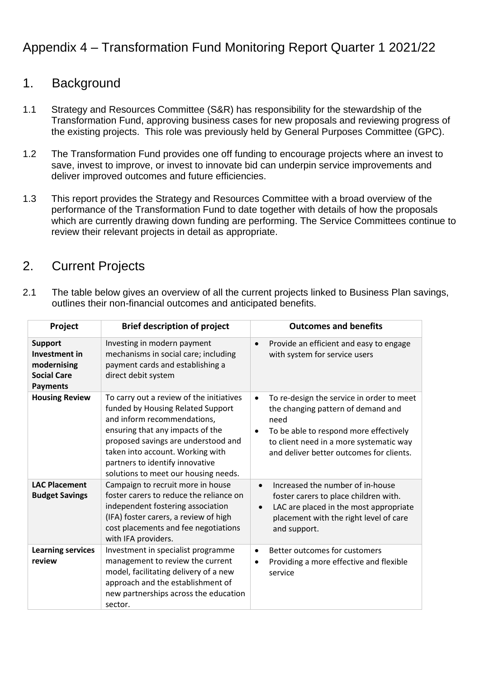# Appendix 4 – Transformation Fund Monitoring Report Quarter 1 2021/22

# 1. Background

- 1.1 Strategy and Resources Committee (S&R) has responsibility for the stewardship of the Transformation Fund, approving business cases for new proposals and reviewing progress of the existing projects. This role was previously held by General Purposes Committee (GPC).
- 1.2 The Transformation Fund provides one off funding to encourage projects where an invest to save, invest to improve, or invest to innovate bid can underpin service improvements and deliver improved outcomes and future efficiencies.
- 1.3 This report provides the Strategy and Resources Committee with a broad overview of the performance of the Transformation Fund to date together with details of how the proposals which are currently drawing down funding are performing. The Service Committees continue to review their relevant projects in detail as appropriate.

# 2. Current Projects

2.1 The table below gives an overview of all the current projects linked to Business Plan savings, outlines their non-financial outcomes and anticipated benefits.

| Project                                                                                 | <b>Brief description of project</b>                                                                                                                                                                                                                                                                    | <b>Outcomes and benefits</b>                                                                                                                                                                                                                       |
|-----------------------------------------------------------------------------------------|--------------------------------------------------------------------------------------------------------------------------------------------------------------------------------------------------------------------------------------------------------------------------------------------------------|----------------------------------------------------------------------------------------------------------------------------------------------------------------------------------------------------------------------------------------------------|
| <b>Support</b><br>Investment in<br>modernising<br><b>Social Care</b><br><b>Payments</b> | Investing in modern payment<br>mechanisms in social care; including<br>payment cards and establishing a<br>direct debit system                                                                                                                                                                         | Provide an efficient and easy to engage<br>$\bullet$<br>with system for service users                                                                                                                                                              |
| <b>Housing Review</b>                                                                   | To carry out a review of the initiatives<br>funded by Housing Related Support<br>and inform recommendations,<br>ensuring that any impacts of the<br>proposed savings are understood and<br>taken into account. Working with<br>partners to identify innovative<br>solutions to meet our housing needs. | To re-design the service in order to meet<br>$\bullet$<br>the changing pattern of demand and<br>need<br>To be able to respond more effectively<br>$\bullet$<br>to client need in a more systematic way<br>and deliver better outcomes for clients. |
| <b>LAC Placement</b><br><b>Budget Savings</b>                                           | Campaign to recruit more in house<br>foster carers to reduce the reliance on<br>independent fostering association<br>(IFA) foster carers, a review of high<br>cost placements and fee negotiations<br>with IFA providers.                                                                              | Increased the number of in-house<br>$\bullet$<br>foster carers to place children with.<br>LAC are placed in the most appropriate<br>$\bullet$<br>placement with the right level of care<br>and support.                                            |
| <b>Learning services</b><br>review                                                      | Investment in specialist programme<br>management to review the current<br>model, facilitating delivery of a new<br>approach and the establishment of<br>new partnerships across the education<br>sector.                                                                                               | Better outcomes for customers<br>$\bullet$<br>Providing a more effective and flexible<br>$\bullet$<br>service                                                                                                                                      |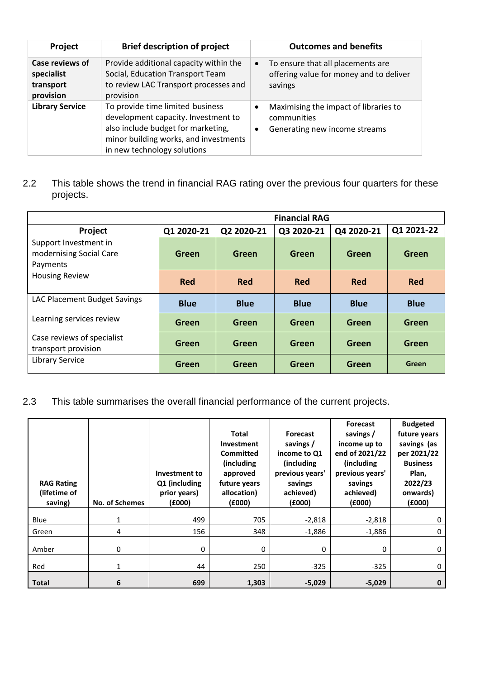| <b>Project</b>                                          | <b>Brief description of project</b>                                                                                                                                                   | <b>Outcomes and benefits</b>                                                                                    |
|---------------------------------------------------------|---------------------------------------------------------------------------------------------------------------------------------------------------------------------------------------|-----------------------------------------------------------------------------------------------------------------|
| Case reviews of<br>specialist<br>transport<br>provision | Provide additional capacity within the<br>Social, Education Transport Team<br>to review LAC Transport processes and<br>provision                                                      | To ensure that all placements are<br>$\bullet$<br>offering value for money and to deliver<br>savings            |
| <b>Library Service</b>                                  | To provide time limited business<br>development capacity. Investment to<br>also include budget for marketing,<br>minor building works, and investments<br>in new technology solutions | Maximising the impact of libraries to<br>$\bullet$<br>communities<br>Generating new income streams<br>$\bullet$ |

### 2.2 This table shows the trend in financial RAG rating over the previous four quarters for these projects.

|                                                              |             |             | <b>Financial RAG</b> |             |              |
|--------------------------------------------------------------|-------------|-------------|----------------------|-------------|--------------|
| Project                                                      | Q1 2020-21  | Q2 2020-21  | Q3 2020-21           | Q4 2020-21  | Q1 2021-22   |
| Support Investment in<br>modernising Social Care<br>Payments | Green       | Green       | <b>Green</b>         | Green       | <b>Green</b> |
| <b>Housing Review</b>                                        | <b>Red</b>  | <b>Red</b>  | <b>Red</b>           | <b>Red</b>  | <b>Red</b>   |
| LAC Placement Budget Savings                                 | <b>Blue</b> | <b>Blue</b> | <b>Blue</b>          | <b>Blue</b> | <b>Blue</b>  |
| Learning services review                                     | Green       | Green       | <b>Green</b>         | Green       | Green        |
| Case reviews of specialist<br>transport provision            | Green       | Green       | Green                | Green       | <b>Green</b> |
| <b>Library Service</b>                                       | Green       | Green       | Green                | Green       | Green        |

### 2.3 This table summarises the overall financial performance of the current projects.

| <b>RAG Rating</b><br>(lifetime of<br>saving) | <b>No. of Schemes</b> | Investment to<br>Q1 (including<br>prior years)<br>(6000) | <b>Total</b><br>Investment<br>Committed<br>(including<br>approved<br>future years<br>allocation)<br>(6000) | <b>Forecast</b><br>savings /<br>income to Q1<br>(including<br>previous years'<br>savings<br>achieved)<br>(6000) | <b>Forecast</b><br>savings /<br>income up to<br>end of 2021/22<br>(including)<br>previous years'<br>savings<br>achieved)<br>(6000) | <b>Budgeted</b><br>future years<br>savings (as<br>per 2021/22<br><b>Business</b><br>Plan,<br>2022/23<br>onwards)<br>(6000) |
|----------------------------------------------|-----------------------|----------------------------------------------------------|------------------------------------------------------------------------------------------------------------|-----------------------------------------------------------------------------------------------------------------|------------------------------------------------------------------------------------------------------------------------------------|----------------------------------------------------------------------------------------------------------------------------|
| Blue                                         | 1                     | 499                                                      | 705                                                                                                        | $-2,818$                                                                                                        | $-2,818$                                                                                                                           | 0                                                                                                                          |
| Green                                        | 4                     | 156                                                      | 348                                                                                                        | $-1,886$                                                                                                        | $-1,886$                                                                                                                           | 0                                                                                                                          |
| Amber                                        | 0                     | 0                                                        | 0                                                                                                          | 0                                                                                                               | $\mathbf{0}$                                                                                                                       | 0                                                                                                                          |
| Red                                          | $\mathbf{1}$          | 44                                                       | 250                                                                                                        | $-325$                                                                                                          | $-325$                                                                                                                             | 0                                                                                                                          |
| <b>Total</b>                                 | 6                     | 699                                                      | 1,303                                                                                                      | $-5,029$                                                                                                        | $-5,029$                                                                                                                           | 0                                                                                                                          |